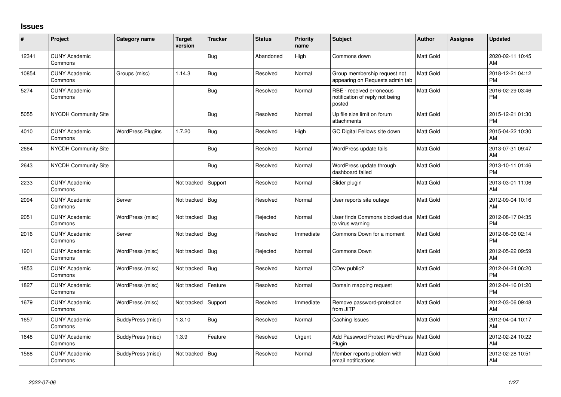## **Issues**

| #     | Project                         | Category name            | <b>Target</b><br>version | <b>Tracker</b> | <b>Status</b> | <b>Priority</b><br>name | Subject                                                               | <b>Author</b>    | <b>Assignee</b> | Updated                       |
|-------|---------------------------------|--------------------------|--------------------------|----------------|---------------|-------------------------|-----------------------------------------------------------------------|------------------|-----------------|-------------------------------|
| 12341 | <b>CUNY Academic</b><br>Commons |                          |                          | <b>Bug</b>     | Abandoned     | High                    | Commons down                                                          | Matt Gold        |                 | 2020-02-11 10:45<br>AM        |
| 10854 | <b>CUNY Academic</b><br>Commons | Groups (misc)            | 1.14.3                   | Bug            | Resolved      | Normal                  | Group membership request not<br>appearing on Requests admin tab       | Matt Gold        |                 | 2018-12-21 04:12<br><b>PM</b> |
| 5274  | <b>CUNY Academic</b><br>Commons |                          |                          | <b>Bug</b>     | Resolved      | Normal                  | RBE - received erroneous<br>notification of reply not being<br>posted | Matt Gold        |                 | 2016-02-29 03:46<br><b>PM</b> |
| 5055  | <b>NYCDH Community Site</b>     |                          |                          | <b>Bug</b>     | Resolved      | Normal                  | Up file size limit on forum<br>attachments                            | Matt Gold        |                 | 2015-12-21 01:30<br><b>PM</b> |
| 4010  | <b>CUNY Academic</b><br>Commons | <b>WordPress Plugins</b> | 1.7.20                   | <b>Bug</b>     | Resolved      | High                    | GC Digital Fellows site down                                          | Matt Gold        |                 | 2015-04-22 10:30<br>AM        |
| 2664  | <b>NYCDH Community Site</b>     |                          |                          | <b>Bug</b>     | Resolved      | Normal                  | WordPress update fails                                                | Matt Gold        |                 | 2013-07-31 09:47<br>AM        |
| 2643  | NYCDH Community Site            |                          |                          | <b>Bug</b>     | Resolved      | Normal                  | WordPress update through<br>dashboard failed                          | Matt Gold        |                 | 2013-10-11 01:46<br><b>PM</b> |
| 2233  | <b>CUNY Academic</b><br>Commons |                          | Not tracked              | Support        | Resolved      | Normal                  | Slider plugin                                                         | Matt Gold        |                 | 2013-03-01 11:06<br>AM        |
| 2094  | <b>CUNY Academic</b><br>Commons | Server                   | Not tracked              | Bug            | Resolved      | Normal                  | User reports site outage                                              | Matt Gold        |                 | 2012-09-04 10:16<br>AM        |
| 2051  | <b>CUNY Academic</b><br>Commons | WordPress (misc)         | Not tracked              | Bug            | Rejected      | Normal                  | User finds Commons blocked due<br>to virus warning                    | Matt Gold        |                 | 2012-08-17 04:35<br><b>PM</b> |
| 2016  | <b>CUNY Academic</b><br>Commons | Server                   | Not tracked              | Bug            | Resolved      | Immediate               | Commons Down for a moment                                             | Matt Gold        |                 | 2012-08-06 02:14<br><b>PM</b> |
| 1901  | <b>CUNY Academic</b><br>Commons | WordPress (misc)         | Not tracked              | <b>Bug</b>     | Rejected      | Normal                  | Commons Down                                                          | Matt Gold        |                 | 2012-05-22 09:59<br>AM        |
| 1853  | <b>CUNY Academic</b><br>Commons | WordPress (misc)         | Not tracked              | Bug            | Resolved      | Normal                  | CDev public?                                                          | Matt Gold        |                 | 2012-04-24 06:20<br><b>PM</b> |
| 1827  | <b>CUNY Academic</b><br>Commons | WordPress (misc)         | Not tracked              | Feature        | Resolved      | Normal                  | Domain mapping request                                                | Matt Gold        |                 | 2012-04-16 01:20<br><b>PM</b> |
| 1679  | <b>CUNY Academic</b><br>Commons | WordPress (misc)         | Not tracked              | Support        | Resolved      | Immediate               | Remove password-protection<br>from JITP                               | Matt Gold        |                 | 2012-03-06 09:48<br>AM        |
| 1657  | <b>CUNY Academic</b><br>Commons | BuddyPress (misc)        | 1.3.10                   | Bug            | Resolved      | Normal                  | Caching Issues                                                        | Matt Gold        |                 | 2012-04-04 10:17<br>AM        |
| 1648  | <b>CUNY Academic</b><br>Commons | BuddyPress (misc)        | 1.3.9                    | Feature        | Resolved      | Urgent                  | Add Password Protect WordPress<br>Plugin                              | <b>Matt Gold</b> |                 | 2012-02-24 10:22<br>AM        |
| 1568  | <b>CUNY Academic</b><br>Commons | BuddyPress (misc)        | Not tracked              | Bug            | Resolved      | Normal                  | Member reports problem with<br>email notifications                    | Matt Gold        |                 | 2012-02-28 10:51<br>AM        |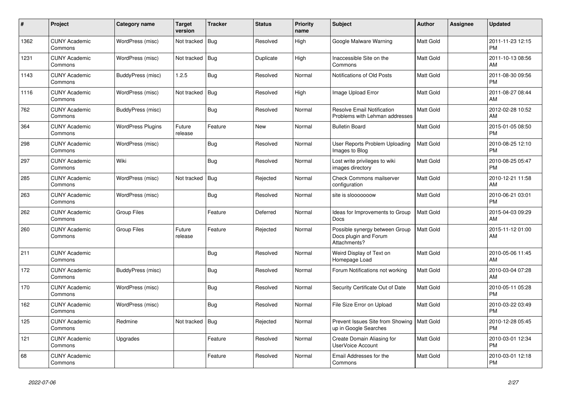| #    | Project                         | Category name            | <b>Target</b><br>version | <b>Tracker</b> | <b>Status</b> | <b>Priority</b><br>name | <b>Subject</b>                                                          | <b>Author</b>    | <b>Assignee</b> | <b>Updated</b>                |
|------|---------------------------------|--------------------------|--------------------------|----------------|---------------|-------------------------|-------------------------------------------------------------------------|------------------|-----------------|-------------------------------|
| 1362 | <b>CUNY Academic</b><br>Commons | WordPress (misc)         | Not tracked              | Bug            | Resolved      | High                    | Google Malware Warning                                                  | Matt Gold        |                 | 2011-11-23 12:15<br><b>PM</b> |
| 1231 | <b>CUNY Academic</b><br>Commons | WordPress (misc)         | Not tracked   Bug        |                | Duplicate     | High                    | Inaccessible Site on the<br>Commons                                     | <b>Matt Gold</b> |                 | 2011-10-13 08:56<br>AM        |
| 1143 | <b>CUNY Academic</b><br>Commons | BuddyPress (misc)        | 1.2.5                    | <b>Bug</b>     | Resolved      | Normal                  | Notifications of Old Posts                                              | Matt Gold        |                 | 2011-08-30 09:56<br><b>PM</b> |
| 1116 | <b>CUNY Academic</b><br>Commons | WordPress (misc)         | Not tracked              | <b>Bug</b>     | Resolved      | High                    | Image Upload Error                                                      | Matt Gold        |                 | 2011-08-27 08:44<br>AM        |
| 762  | <b>CUNY Academic</b><br>Commons | BuddyPress (misc)        |                          | <b>Bug</b>     | Resolved      | Normal                  | <b>Resolve Email Notification</b><br>Problems with Lehman addresses     | Matt Gold        |                 | 2012-02-28 10:52<br>AM        |
| 364  | <b>CUNY Academic</b><br>Commons | <b>WordPress Plugins</b> | Future<br>release        | Feature        | New           | Normal                  | <b>Bulletin Board</b>                                                   | Matt Gold        |                 | 2015-01-05 08:50<br><b>PM</b> |
| 298  | <b>CUNY Academic</b><br>Commons | WordPress (misc)         |                          | Bug            | Resolved      | Normal                  | User Reports Problem Uploading<br>Images to Blog                        | Matt Gold        |                 | 2010-08-25 12:10<br><b>PM</b> |
| 297  | <b>CUNY Academic</b><br>Commons | Wiki                     |                          | Bug            | Resolved      | Normal                  | Lost write privileges to wiki<br>images directory                       | Matt Gold        |                 | 2010-08-25 05:47<br><b>PM</b> |
| 285  | <b>CUNY Academic</b><br>Commons | WordPress (misc)         | Not tracked              | Bug            | Rejected      | Normal                  | <b>Check Commons mailserver</b><br>configuration                        | Matt Gold        |                 | 2010-12-21 11:58<br>AM        |
| 263  | <b>CUNY Academic</b><br>Commons | WordPress (misc)         |                          | <b>Bug</b>     | Resolved      | Normal                  | site is slooooooow                                                      | Matt Gold        |                 | 2010-06-21 03:01<br><b>PM</b> |
| 262  | <b>CUNY Academic</b><br>Commons | <b>Group Files</b>       |                          | Feature        | Deferred      | Normal                  | Ideas for Improvements to Group<br><b>Docs</b>                          | Matt Gold        |                 | 2015-04-03 09:29<br>AM        |
| 260  | <b>CUNY Academic</b><br>Commons | Group Files              | Future<br>release        | Feature        | Rejected      | Normal                  | Possible synergy between Group<br>Docs plugin and Forum<br>Attachments? | Matt Gold        |                 | 2015-11-12 01:00<br>AM        |
| 211  | <b>CUNY Academic</b><br>Commons |                          |                          | <b>Bug</b>     | Resolved      | Normal                  | Weird Display of Text on<br>Homepage Load                               | <b>Matt Gold</b> |                 | 2010-05-06 11:45<br>AM        |
| 172  | <b>CUNY Academic</b><br>Commons | BuddyPress (misc)        |                          | Bug            | Resolved      | Normal                  | Forum Notifications not working                                         | Matt Gold        |                 | 2010-03-04 07:28<br>AM        |
| 170  | <b>CUNY Academic</b><br>Commons | WordPress (misc)         |                          | <b>Bug</b>     | Resolved      | Normal                  | Security Certificate Out of Date                                        | Matt Gold        |                 | 2010-05-11 05:28<br><b>PM</b> |
| 162  | <b>CUNY Academic</b><br>Commons | WordPress (misc)         |                          | Bug            | Resolved      | Normal                  | File Size Error on Upload                                               | Matt Gold        |                 | 2010-03-22 03:49<br><b>PM</b> |
| 125  | <b>CUNY Academic</b><br>Commons | Redmine                  | Not tracked              | Bug            | Rejected      | Normal                  | Prevent Issues Site from Showing<br>up in Google Searches               | Matt Gold        |                 | 2010-12-28 05:45<br><b>PM</b> |
| 121  | <b>CUNY Academic</b><br>Commons | Upgrades                 |                          | Feature        | Resolved      | Normal                  | Create Domain Aliasing for<br>UserVoice Account                         | Matt Gold        |                 | 2010-03-01 12:34<br><b>PM</b> |
| 68   | <b>CUNY Academic</b><br>Commons |                          |                          | Feature        | Resolved      | Normal                  | Email Addresses for the<br>Commons                                      | Matt Gold        |                 | 2010-03-01 12:18<br><b>PM</b> |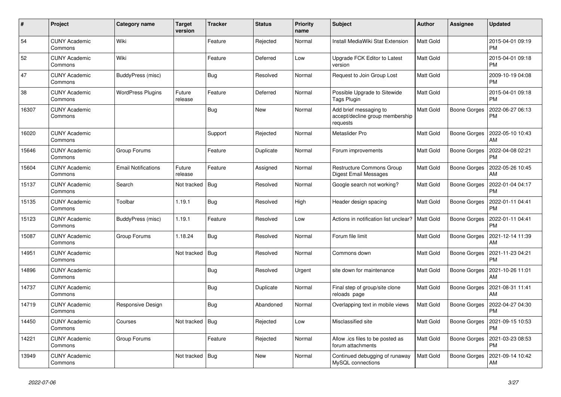| $\pmb{\#}$ | Project                         | Category name              | <b>Target</b><br>version | <b>Tracker</b> | <b>Status</b> | <b>Priority</b><br>name | <b>Subject</b>                                                        | <b>Author</b>    | <b>Assignee</b>     | <b>Updated</b>                |
|------------|---------------------------------|----------------------------|--------------------------|----------------|---------------|-------------------------|-----------------------------------------------------------------------|------------------|---------------------|-------------------------------|
| 54         | <b>CUNY Academic</b><br>Commons | Wiki                       |                          | Feature        | Rejected      | Normal                  | Install MediaWiki Stat Extension                                      | Matt Gold        |                     | 2015-04-01 09:19<br><b>PM</b> |
| 52         | <b>CUNY Academic</b><br>Commons | Wiki                       |                          | Feature        | Deferred      | Low                     | Upgrade FCK Editor to Latest<br>version                               | Matt Gold        |                     | 2015-04-01 09:18<br><b>PM</b> |
| 47         | <b>CUNY Academic</b><br>Commons | BuddyPress (misc)          |                          | <b>Bug</b>     | Resolved      | Normal                  | Request to Join Group Lost                                            | Matt Gold        |                     | 2009-10-19 04:08<br><b>PM</b> |
| 38         | <b>CUNY Academic</b><br>Commons | <b>WordPress Plugins</b>   | Future<br>release        | Feature        | Deferred      | Normal                  | Possible Upgrade to Sitewide<br>Tags Plugin                           | Matt Gold        |                     | 2015-04-01 09:18<br><b>PM</b> |
| 16307      | <b>CUNY Academic</b><br>Commons |                            |                          | Bug            | New           | Normal                  | Add brief messaging to<br>accept/decline group membership<br>requests | Matt Gold        | <b>Boone Gorges</b> | 2022-06-27 06:13<br><b>PM</b> |
| 16020      | <b>CUNY Academic</b><br>Commons |                            |                          | Support        | Rejected      | Normal                  | Metaslider Pro                                                        | Matt Gold        | <b>Boone Gorges</b> | 2022-05-10 10:43<br>AM        |
| 15646      | <b>CUNY Academic</b><br>Commons | Group Forums               |                          | Feature        | Duplicate     | Normal                  | Forum improvements                                                    | Matt Gold        | Boone Gorges        | 2022-04-08 02:21<br><b>PM</b> |
| 15604      | <b>CUNY Academic</b><br>Commons | <b>Email Notifications</b> | Future<br>release        | Feature        | Assigned      | Normal                  | Restructure Commons Group<br><b>Digest Email Messages</b>             | Matt Gold        | Boone Gorges        | 2022-05-26 10:45<br>AM        |
| 15137      | <b>CUNY Academic</b><br>Commons | Search                     | Not tracked              | <b>Bug</b>     | Resolved      | Normal                  | Google search not working?                                            | Matt Gold        | Boone Gorges        | 2022-01-04 04:17<br><b>PM</b> |
| 15135      | <b>CUNY Academic</b><br>Commons | Toolbar                    | 1.19.1                   | Bug            | Resolved      | High                    | Header design spacing                                                 | Matt Gold        | <b>Boone Gorges</b> | 2022-01-11 04:41<br><b>PM</b> |
| 15123      | <b>CUNY Academic</b><br>Commons | BuddyPress (misc)          | 1.19.1                   | Feature        | Resolved      | Low                     | Actions in notification list unclear?                                 | <b>Matt Gold</b> | <b>Boone Gorges</b> | 2022-01-11 04:41<br><b>PM</b> |
| 15087      | <b>CUNY Academic</b><br>Commons | Group Forums               | 1.18.24                  | Bug            | Resolved      | Normal                  | Forum file limit                                                      | Matt Gold        | Boone Gorges        | 2021-12-14 11:39<br>AM        |
| 14951      | <b>CUNY Academic</b><br>Commons |                            | Not tracked              | Bug            | Resolved      | Normal                  | Commons down                                                          | Matt Gold        | Boone Gorges        | 2021-11-23 04:21<br><b>PM</b> |
| 14896      | <b>CUNY Academic</b><br>Commons |                            |                          | <b>Bug</b>     | Resolved      | Urgent                  | site down for maintenance                                             | Matt Gold        | Boone Gorges        | 2021-10-26 11:01<br>AM        |
| 14737      | <b>CUNY Academic</b><br>Commons |                            |                          | Bug            | Duplicate     | Normal                  | Final step of group/site clone<br>reloads page                        | Matt Gold        | Boone Gorges        | 2021-08-31 11:41<br>AM        |
| 14719      | <b>CUNY Academic</b><br>Commons | Responsive Design          |                          | <b>Bug</b>     | Abandoned     | Normal                  | Overlapping text in mobile views                                      | Matt Gold        | <b>Boone Gorges</b> | 2022-04-27 04:30<br><b>PM</b> |
| 14450      | <b>CUNY Academic</b><br>Commons | Courses                    | Not tracked              | Bug            | Rejected      | Low                     | Misclassified site                                                    | Matt Gold        | Boone Gorges        | 2021-09-15 10:53<br><b>PM</b> |
| 14221      | <b>CUNY Academic</b><br>Commons | Group Forums               |                          | Feature        | Rejected      | Normal                  | Allow .ics files to be posted as<br>forum attachments                 | Matt Gold        | Boone Gorges        | 2021-03-23 08:53<br><b>PM</b> |
| 13949      | <b>CUNY Academic</b><br>Commons |                            | Not tracked              | <b>Bug</b>     | New           | Normal                  | Continued debugging of runaway<br>MySQL connections                   | Matt Gold        | <b>Boone Gorges</b> | 2021-09-14 10:42<br>AM        |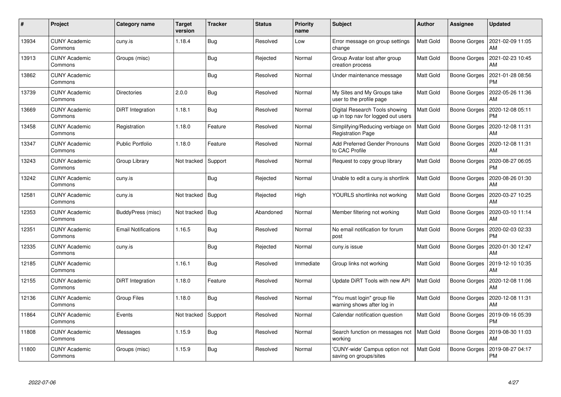| #     | Project                         | Category name              | <b>Target</b><br>version | <b>Tracker</b> | <b>Status</b> | <b>Priority</b><br>name | <b>Subject</b>                                                       | <b>Author</b>    | Assignee            | <b>Updated</b>                |
|-------|---------------------------------|----------------------------|--------------------------|----------------|---------------|-------------------------|----------------------------------------------------------------------|------------------|---------------------|-------------------------------|
| 13934 | <b>CUNY Academic</b><br>Commons | cuny.is                    | 1.18.4                   | <b>Bug</b>     | Resolved      | Low                     | Error message on group settings<br>change                            | <b>Matt Gold</b> | <b>Boone Gorges</b> | 2021-02-09 11:05<br>AM        |
| 13913 | <b>CUNY Academic</b><br>Commons | Groups (misc)              |                          | <b>Bug</b>     | Rejected      | Normal                  | Group Avatar lost after group<br>creation process                    | Matt Gold        | <b>Boone Gorges</b> | 2021-02-23 10:45<br>AM        |
| 13862 | <b>CUNY Academic</b><br>Commons |                            |                          | <b>Bug</b>     | Resolved      | Normal                  | Under maintenance message                                            | <b>Matt Gold</b> | <b>Boone Gorges</b> | 2021-01-28 08:56<br><b>PM</b> |
| 13739 | <b>CUNY Academic</b><br>Commons | <b>Directories</b>         | 2.0.0                    | Bug            | Resolved      | Normal                  | My Sites and My Groups take<br>user to the profile page              | Matt Gold        | Boone Gorges        | 2022-05-26 11:36<br>AM        |
| 13669 | <b>CUNY Academic</b><br>Commons | DiRT Integration           | 1.18.1                   | <b>Bug</b>     | Resolved      | Normal                  | Digital Research Tools showing<br>up in top nav for logged out users | <b>Matt Gold</b> | <b>Boone Gorges</b> | 2020-12-08 05:11<br><b>PM</b> |
| 13458 | <b>CUNY Academic</b><br>Commons | Registration               | 1.18.0                   | Feature        | Resolved      | Normal                  | Simplifying/Reducing verbiage on<br><b>Registration Page</b>         | <b>Matt Gold</b> | Boone Gorges        | 2020-12-08 11:31<br>AM        |
| 13347 | <b>CUNY Academic</b><br>Commons | <b>Public Portfolio</b>    | 1.18.0                   | Feature        | Resolved      | Normal                  | Add Preferred Gender Pronouns<br>to CAC Profile                      | <b>Matt Gold</b> | <b>Boone Gorges</b> | 2020-12-08 11:31<br><b>AM</b> |
| 13243 | <b>CUNY Academic</b><br>Commons | Group Library              | Not tracked              | Support        | Resolved      | Normal                  | Request to copy group library                                        | Matt Gold        | Boone Gorges        | 2020-08-27 06:05<br><b>PM</b> |
| 13242 | <b>CUNY Academic</b><br>Commons | cuny.is                    |                          | <b>Bug</b>     | Rejected      | Normal                  | Unable to edit a cuny is shortlink                                   | Matt Gold        | <b>Boone Gorges</b> | 2020-08-26 01:30<br>AM        |
| 12581 | <b>CUNY Academic</b><br>Commons | cuny.is                    | Not tracked              | Bug            | Rejected      | High                    | YOURLS shortlinks not working                                        | Matt Gold        | <b>Boone Gorges</b> | 2020-03-27 10:25<br>AM        |
| 12353 | <b>CUNY Academic</b><br>Commons | BuddyPress (misc)          | Not tracked              | <b>Bug</b>     | Abandoned     | Normal                  | Member filtering not working                                         | Matt Gold        | <b>Boone Gorges</b> | 2020-03-10 11:14<br>AM        |
| 12351 | <b>CUNY Academic</b><br>Commons | <b>Email Notifications</b> | 1.16.5                   | <b>Bug</b>     | Resolved      | Normal                  | No email notification for forum<br>post                              | Matt Gold        | <b>Boone Gorges</b> | 2020-02-03 02:33<br><b>PM</b> |
| 12335 | <b>CUNY Academic</b><br>Commons | cuny.is                    |                          | <b>Bug</b>     | Rejected      | Normal                  | cuny.is issue                                                        | <b>Matt Gold</b> | <b>Boone Gorges</b> | 2020-01-30 12:47<br>AM        |
| 12185 | <b>CUNY Academic</b><br>Commons |                            | 1.16.1                   | <b>Bug</b>     | Resolved      | Immediate               | Group links not working                                              | Matt Gold        | Boone Gorges        | 2019-12-10 10:35<br>AM        |
| 12155 | <b>CUNY Academic</b><br>Commons | DiRT Integration           | 1.18.0                   | Feature        | Resolved      | Normal                  | Update DiRT Tools with new API                                       | <b>Matt Gold</b> | <b>Boone Gorges</b> | 2020-12-08 11:06<br><b>AM</b> |
| 12136 | <b>CUNY Academic</b><br>Commons | <b>Group Files</b>         | 1.18.0                   | <b>Bug</b>     | Resolved      | Normal                  | 'You must login" group file<br>warning shows after log in            | <b>Matt Gold</b> | <b>Boone Gorges</b> | 2020-12-08 11:31<br>AM        |
| 11864 | <b>CUNY Academic</b><br>Commons | Events                     | Not tracked              | Support        | Resolved      | Normal                  | Calendar notification question                                       | Matt Gold        | Boone Gorges        | 2019-09-16 05:39<br><b>PM</b> |
| 11808 | <b>CUNY Academic</b><br>Commons | Messages                   | 1.15.9                   | <b>Bug</b>     | Resolved      | Normal                  | Search function on messages not<br>working                           | <b>Matt Gold</b> | <b>Boone Gorges</b> | 2019-08-30 11:03<br>AM        |
| 11800 | <b>CUNY Academic</b><br>Commons | Groups (misc)              | 1.15.9                   | <b>Bug</b>     | Resolved      | Normal                  | 'CUNY-wide' Campus option not<br>saving on groups/sites              | <b>Matt Gold</b> | Boone Gorges        | 2019-08-27 04:17<br>PM        |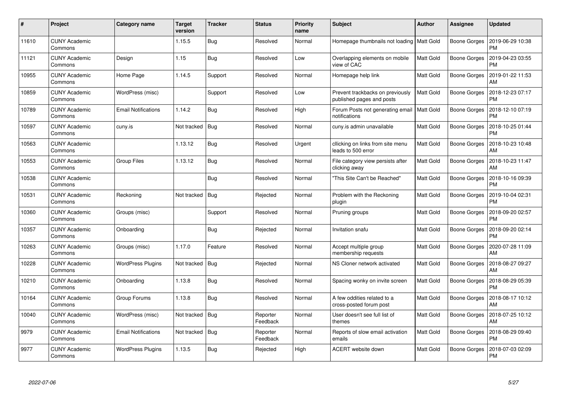| $\pmb{\#}$ | Project                         | <b>Category name</b>       | Target<br>version | <b>Tracker</b> | <b>Status</b>        | <b>Priority</b><br>name | <b>Subject</b>                                                | <b>Author</b>    | Assignee            | <b>Updated</b>                        |
|------------|---------------------------------|----------------------------|-------------------|----------------|----------------------|-------------------------|---------------------------------------------------------------|------------------|---------------------|---------------------------------------|
| 11610      | <b>CUNY Academic</b><br>Commons |                            | 1.15.5            | <b>Bug</b>     | Resolved             | Normal                  | Homepage thumbnails not loading                               | Matt Gold        | Boone Gorges        | 2019-06-29 10:38<br><b>PM</b>         |
| 11121      | CUNY Academic<br>Commons        | Design                     | 1.15              | <b>Bug</b>     | Resolved             | Low                     | Overlapping elements on mobile<br>view of CAC                 | <b>Matt Gold</b> | Boone Gorges        | 2019-04-23 03:55<br><b>PM</b>         |
| 10955      | <b>CUNY Academic</b><br>Commons | Home Page                  | 1.14.5            | Support        | Resolved             | Normal                  | Homepage help link                                            | Matt Gold        | Boone Gorges        | 2019-01-22 11:53<br>AM                |
| 10859      | <b>CUNY Academic</b><br>Commons | WordPress (misc)           |                   | Support        | Resolved             | Low                     | Prevent trackbacks on previously<br>published pages and posts | <b>Matt Gold</b> | Boone Gorges        | 2018-12-23 07:17<br><b>PM</b>         |
| 10789      | <b>CUNY Academic</b><br>Commons | <b>Email Notifications</b> | 1.14.2            | <b>Bug</b>     | Resolved             | High                    | Forum Posts not generating email<br>notifications             | Matt Gold        | Boone Gorges        | 2018-12-10 07:19<br><b>PM</b>         |
| 10597      | <b>CUNY Academic</b><br>Commons | cuny.is                    | Not tracked       | Bug            | Resolved             | Normal                  | cuny.is admin unavailable                                     | Matt Gold        | Boone Gorges        | 2018-10-25 01:44<br><b>PM</b>         |
| 10563      | <b>CUNY Academic</b><br>Commons |                            | 1.13.12           | <b>Bug</b>     | Resolved             | Urgent                  | cllicking on links from site menu<br>leads to 500 error       | <b>Matt Gold</b> | Boone Gorges        | 2018-10-23 10:48<br>AM                |
| 10553      | <b>CUNY Academic</b><br>Commons | <b>Group Files</b>         | 1.13.12           | <b>Bug</b>     | Resolved             | Normal                  | File category view persists after<br>clicking away            | <b>Matt Gold</b> | Boone Gorges        | 2018-10-23 11:47<br>AM                |
| 10538      | <b>CUNY Academic</b><br>Commons |                            |                   | <b>Bug</b>     | Resolved             | Normal                  | 'This Site Can't be Reached"                                  | <b>Matt Gold</b> | Boone Gorges        | 2018-10-16 09:39<br><b>PM</b>         |
| 10531      | <b>CUNY Academic</b><br>Commons | Reckoning                  | Not tracked       | Bug            | Rejected             | Normal                  | Problem with the Reckoning<br>plugin                          | <b>Matt Gold</b> | <b>Boone Gorges</b> | 2019-10-04 02:31<br><b>PM</b>         |
| 10360      | <b>CUNY Academic</b><br>Commons | Groups (misc)              |                   | Support        | Resolved             | Normal                  | Pruning groups                                                | <b>Matt Gold</b> | Boone Gorges        | 2018-09-20 02:57<br><b>PM</b>         |
| 10357      | <b>CUNY Academic</b><br>Commons | Onboarding                 |                   | <b>Bug</b>     | Rejected             | Normal                  | Invitation snafu                                              | <b>Matt Gold</b> | Boone Gorges        | 2018-09-20 02:14<br><b>PM</b>         |
| 10263      | <b>CUNY Academic</b><br>Commons | Groups (misc)              | 1.17.0            | Feature        | Resolved             | Normal                  | Accept multiple group<br>membership requests                  | <b>Matt Gold</b> | Boone Gorges        | 2020-07-28 11:09<br>AM                |
| 10228      | <b>CUNY Academic</b><br>Commons | <b>WordPress Plugins</b>   | Not tracked       | Bug            | Rejected             | Normal                  | NS Cloner network activated                                   | <b>Matt Gold</b> | Boone Gorges        | 2018-08-27 09:27<br>AM                |
| 10210      | <b>CUNY Academic</b><br>Commons | Onboarding                 | 1.13.8            | <b>Bug</b>     | Resolved             | Normal                  | Spacing wonky on invite screen                                | <b>Matt Gold</b> | Boone Gorges        | 2018-08-29 05:39<br><b>PM</b>         |
| 10164      | <b>CUNY Academic</b><br>Commons | Group Forums               | 1.13.8            | <b>Bug</b>     | Resolved             | Normal                  | A few oddities related to a<br>cross-posted forum post        | <b>Matt Gold</b> |                     | Boone Gorges   2018-08-17 10:12<br>AM |
| 10040      | <b>CUNY Academic</b><br>Commons | WordPress (misc)           | Not tracked       | Bug            | Reporter<br>Feedback | Normal                  | User doesn't see full list of<br>themes                       | Matt Gold        | Boone Gorges        | 2018-07-25 10:12<br>AM                |
| 9979       | <b>CUNY Academic</b><br>Commons | <b>Email Notifications</b> | Not tracked       | Bug            | Reporter<br>Feedback | Normal                  | Reports of slow email activation<br>emails                    | Matt Gold        | Boone Gorges        | 2018-08-29 09:40<br><b>PM</b>         |
| 9977       | <b>CUNY Academic</b><br>Commons | <b>WordPress Plugins</b>   | 1.13.5            | <b>Bug</b>     | Rejected             | High                    | <b>ACERT</b> website down                                     | <b>Matt Gold</b> | Boone Gorges        | 2018-07-03 02:09<br>PM                |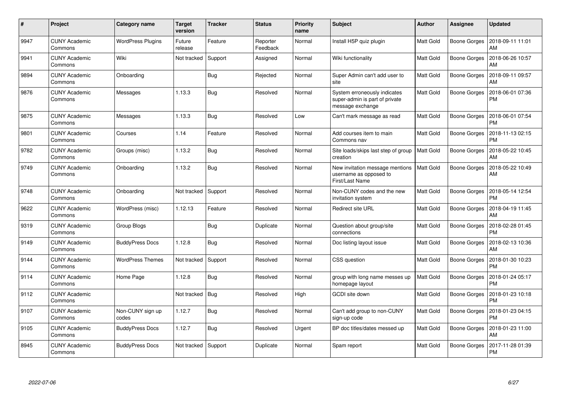| $\#$ | Project                         | <b>Category name</b>      | <b>Target</b><br>version | <b>Tracker</b> | <b>Status</b>        | <b>Priority</b><br>name | <b>Subject</b>                                                                     | <b>Author</b>    | <b>Assignee</b>     | <b>Updated</b>                |
|------|---------------------------------|---------------------------|--------------------------|----------------|----------------------|-------------------------|------------------------------------------------------------------------------------|------------------|---------------------|-------------------------------|
| 9947 | <b>CUNY Academic</b><br>Commons | <b>WordPress Plugins</b>  | Future<br>release        | Feature        | Reporter<br>Feedback | Normal                  | Install H5P quiz plugin                                                            | Matt Gold        | Boone Gorges        | 2018-09-11 11:01<br>AM        |
| 9941 | <b>CUNY Academic</b><br>Commons | Wiki                      | Not tracked              | Support        | Assigned             | Normal                  | Wiki functionality                                                                 | <b>Matt Gold</b> | Boone Gorges        | 2018-06-26 10:57<br>AM        |
| 9894 | <b>CUNY Academic</b><br>Commons | Onboarding                |                          | <b>Bug</b>     | Rejected             | Normal                  | Super Admin can't add user to<br>site                                              | <b>Matt Gold</b> | Boone Gorges        | 2018-09-11 09:57<br>AM        |
| 9876 | CUNY Academic<br>Commons        | Messages                  | 1.13.3                   | <b>Bug</b>     | Resolved             | Normal                  | System erroneously indicates<br>super-admin is part of private<br>message exchange | <b>Matt Gold</b> | Boone Gorges        | 2018-06-01 07:36<br><b>PM</b> |
| 9875 | <b>CUNY Academic</b><br>Commons | Messages                  | 1.13.3                   | Bug            | Resolved             | Low                     | Can't mark message as read                                                         | <b>Matt Gold</b> | Boone Gorges        | 2018-06-01 07:54<br><b>PM</b> |
| 9801 | <b>CUNY Academic</b><br>Commons | Courses                   | 1.14                     | Feature        | Resolved             | Normal                  | Add courses item to main<br>Commons nav                                            | Matt Gold        | Boone Gorges        | 2018-11-13 02:15<br><b>PM</b> |
| 9782 | <b>CUNY Academic</b><br>Commons | Groups (misc)             | 1.13.2                   | <b>Bug</b>     | Resolved             | Normal                  | Site loads/skips last step of group<br>creation                                    | <b>Matt Gold</b> | <b>Boone Gorges</b> | 2018-05-22 10:45<br>AM        |
| 9749 | <b>CUNY Academic</b><br>Commons | Onboarding                | 1.13.2                   | <b>Bug</b>     | Resolved             | Normal                  | New invitation message mentions<br>username as opposed to<br>First/Last Name       | <b>Matt Gold</b> | <b>Boone Gorges</b> | 2018-05-22 10:49<br>AM        |
| 9748 | <b>CUNY Academic</b><br>Commons | Onboarding                | Not tracked              | Support        | Resolved             | Normal                  | Non-CUNY codes and the new<br>invitation system                                    | Matt Gold        | Boone Gorges        | 2018-05-14 12:54<br><b>PM</b> |
| 9622 | <b>CUNY Academic</b><br>Commons | WordPress (misc)          | 1.12.13                  | Feature        | Resolved             | Normal                  | <b>Redirect site URL</b>                                                           | <b>Matt Gold</b> | Boone Gorges        | 2018-04-19 11:45<br>AM        |
| 9319 | <b>CUNY Academic</b><br>Commons | Group Blogs               |                          | <b>Bug</b>     | Duplicate            | Normal                  | Question about group/site<br>connections                                           | <b>Matt Gold</b> | Boone Gorges        | 2018-02-28 01:45<br><b>PM</b> |
| 9149 | <b>CUNY Academic</b><br>Commons | <b>BuddyPress Docs</b>    | 1.12.8                   | <b>Bug</b>     | Resolved             | Normal                  | Doc listing layout issue                                                           | Matt Gold        | Boone Gorges        | 2018-02-13 10:36<br>AM        |
| 9144 | <b>CUNY Academic</b><br>Commons | <b>WordPress Themes</b>   | Not tracked              | Support        | Resolved             | Normal                  | CSS question                                                                       | <b>Matt Gold</b> | Boone Gorges        | 2018-01-30 10:23<br><b>PM</b> |
| 9114 | <b>CUNY Academic</b><br>Commons | Home Page                 | 1.12.8                   | <b>Bug</b>     | Resolved             | Normal                  | group with long name messes up<br>homepage layout                                  | <b>Matt Gold</b> | Boone Gorges        | 2018-01-24 05:17<br><b>PM</b> |
| 9112 | <b>CUNY Academic</b><br>Commons |                           | Not tracked              | Bug            | Resolved             | High                    | GCDI site down                                                                     | <b>Matt Gold</b> | Boone Gorges        | 2018-01-23 10:18<br><b>PM</b> |
| 9107 | <b>CUNY Academic</b><br>Commons | Non-CUNY sign up<br>codes | 1.12.7                   | <b>Bug</b>     | Resolved             | Normal                  | Can't add group to non-CUNY<br>sign-up code                                        | <b>Matt Gold</b> | <b>Boone Gorges</b> | 2018-01-23 04:15<br><b>PM</b> |
| 9105 | <b>CUNY Academic</b><br>Commons | <b>BuddyPress Docs</b>    | 1.12.7                   | Bug            | Resolved             | Urgent                  | BP doc titles/dates messed up                                                      | Matt Gold        | Boone Gorges        | 2018-01-23 11:00<br>AM        |
| 8945 | <b>CUNY Academic</b><br>Commons | <b>BuddyPress Docs</b>    | Not tracked              | Support        | Duplicate            | Normal                  | Spam report                                                                        | Matt Gold        | Boone Gorges        | 2017-11-28 01:39<br>PM        |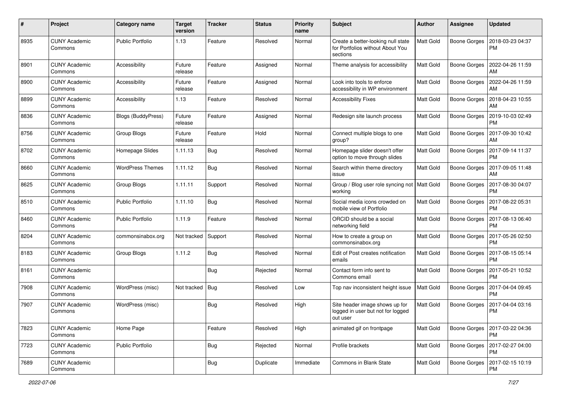| #    | Project                         | Category name             | <b>Target</b><br>version | <b>Tracker</b> | <b>Status</b> | <b>Priority</b><br>name | Subject                                                                            | Author    | Assignee            | <b>Updated</b>                |
|------|---------------------------------|---------------------------|--------------------------|----------------|---------------|-------------------------|------------------------------------------------------------------------------------|-----------|---------------------|-------------------------------|
| 8935 | <b>CUNY Academic</b><br>Commons | <b>Public Portfolio</b>   | 1.13                     | Feature        | Resolved      | Normal                  | Create a better-looking null state<br>for Portfolios without About You<br>sections | Matt Gold | <b>Boone Gorges</b> | 2018-03-23 04:37<br><b>PM</b> |
| 8901 | <b>CUNY Academic</b><br>Commons | Accessibility             | Future<br>release        | Feature        | Assigned      | Normal                  | Theme analysis for accessibility                                                   | Matt Gold | Boone Gorges        | 2022-04-26 11:59<br>AM        |
| 8900 | <b>CUNY Academic</b><br>Commons | Accessibility             | Future<br>release        | Feature        | Assigned      | Normal                  | Look into tools to enforce<br>accessibility in WP environment                      | Matt Gold | <b>Boone Gorges</b> | 2022-04-26 11:59<br>AM        |
| 8899 | <b>CUNY Academic</b><br>Commons | Accessibility             | 1.13                     | Feature        | Resolved      | Normal                  | <b>Accessibility Fixes</b>                                                         | Matt Gold | <b>Boone Gorges</b> | 2018-04-23 10:55<br>AM        |
| 8836 | <b>CUNY Academic</b><br>Commons | <b>Blogs (BuddyPress)</b> | Future<br>release        | Feature        | Assigned      | Normal                  | Redesign site launch process                                                       | Matt Gold | <b>Boone Gorges</b> | 2019-10-03 02:49<br><b>PM</b> |
| 8756 | <b>CUNY Academic</b><br>Commons | Group Blogs               | Future<br>release        | Feature        | Hold          | Normal                  | Connect multiple blogs to one<br>group?                                            | Matt Gold | Boone Gorges        | 2017-09-30 10:42<br>AM        |
| 8702 | <b>CUNY Academic</b><br>Commons | Homepage Slides           | 1.11.13                  | <b>Bug</b>     | Resolved      | Normal                  | Homepage slider doesn't offer<br>option to move through slides                     | Matt Gold | Boone Gorges        | 2017-09-14 11:37<br><b>PM</b> |
| 8660 | <b>CUNY Academic</b><br>Commons | <b>WordPress Themes</b>   | 1.11.12                  | <b>Bug</b>     | Resolved      | Normal                  | Search within theme directory<br>issue                                             | Matt Gold | Boone Gorges        | 2017-09-05 11:48<br>AM        |
| 8625 | <b>CUNY Academic</b><br>Commons | Group Blogs               | 1.11.11                  | Support        | Resolved      | Normal                  | Group / Blog user role syncing not   Matt Gold<br>working                          |           | <b>Boone Gorges</b> | 2017-08-30 04:07<br><b>PM</b> |
| 8510 | <b>CUNY Academic</b><br>Commons | <b>Public Portfolio</b>   | 1.11.10                  | <b>Bug</b>     | Resolved      | Normal                  | Social media icons crowded on<br>mobile view of Portfolio                          | Matt Gold | <b>Boone Gorges</b> | 2017-08-22 05:31<br><b>PM</b> |
| 8460 | <b>CUNY Academic</b><br>Commons | <b>Public Portfolio</b>   | 1.11.9                   | Feature        | Resolved      | Normal                  | ORCID should be a social<br>networking field                                       | Matt Gold | <b>Boone Gorges</b> | 2017-08-13 06:40<br><b>PM</b> |
| 8204 | <b>CUNY Academic</b><br>Commons | commonsinabox.org         | Not tracked              | Support        | Resolved      | Normal                  | How to create a group on<br>commonsinabox.org                                      | Matt Gold | <b>Boone Gorges</b> | 2017-05-26 02:50<br><b>PM</b> |
| 8183 | <b>CUNY Academic</b><br>Commons | Group Blogs               | 1.11.2                   | <b>Bug</b>     | Resolved      | Normal                  | Edit of Post creates notification<br>emails                                        | Matt Gold | Boone Gorges        | 2017-08-15 05:14<br><b>PM</b> |
| 8161 | <b>CUNY Academic</b><br>Commons |                           |                          | <b>Bug</b>     | Rejected      | Normal                  | Contact form info sent to<br>Commons email                                         | Matt Gold | Boone Gorges        | 2017-05-21 10:52<br><b>PM</b> |
| 7908 | <b>CUNY Academic</b><br>Commons | WordPress (misc)          | Not tracked              | Bug            | Resolved      | Low                     | Top nav inconsistent height issue                                                  | Matt Gold | Boone Gorges        | 2017-04-04 09:45<br><b>PM</b> |
| 7907 | <b>CUNY Academic</b><br>Commons | WordPress (misc)          |                          | <b>Bug</b>     | Resolved      | High                    | Site header image shows up for<br>logged in user but not for logged<br>out user    | Matt Gold | <b>Boone Gorges</b> | 2017-04-04 03:16<br>PM        |
| 7823 | <b>CUNY Academic</b><br>Commons | Home Page                 |                          | Feature        | Resolved      | High                    | animated gif on frontpage                                                          | Matt Gold | Boone Gorges        | 2017-03-22 04:36<br>PM        |
| 7723 | <b>CUNY Academic</b><br>Commons | Public Portfolio          |                          | <b>Bug</b>     | Rejected      | Normal                  | Profile brackets                                                                   | Matt Gold | Boone Gorges        | 2017-02-27 04:00<br><b>PM</b> |
| 7689 | <b>CUNY Academic</b><br>Commons |                           |                          | <b>Bug</b>     | Duplicate     | Immediate               | Commons in Blank State                                                             | Matt Gold | <b>Boone Gorges</b> | 2017-02-15 10:19<br><b>PM</b> |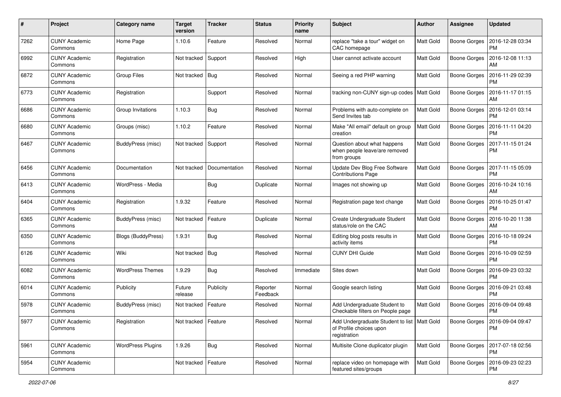| #    | Project                         | Category name            | <b>Target</b><br>version | <b>Tracker</b> | <b>Status</b>        | <b>Priority</b><br>name | <b>Subject</b>                                                                           | <b>Author</b>    | <b>Assignee</b>     | <b>Updated</b>                               |
|------|---------------------------------|--------------------------|--------------------------|----------------|----------------------|-------------------------|------------------------------------------------------------------------------------------|------------------|---------------------|----------------------------------------------|
| 7262 | <b>CUNY Academic</b><br>Commons | Home Page                | 1.10.6                   | Feature        | Resolved             | Normal                  | replace "take a tour" widget on<br>CAC homepage                                          | Matt Gold        | Boone Gorges        | 2016-12-28 03:34<br><b>PM</b>                |
| 6992 | <b>CUNY Academic</b><br>Commons | Registration             | Not tracked              | Support        | Resolved             | High                    | User cannot activate account                                                             | Matt Gold        | <b>Boone Gorges</b> | 2016-12-08 11:13<br><b>AM</b>                |
| 6872 | CUNY Academic<br>Commons        | <b>Group Files</b>       | Not tracked              | Bug            | Resolved             | Normal                  | Seeing a red PHP warning                                                                 | Matt Gold        | <b>Boone Gorges</b> | 2016-11-29 02:39<br><b>PM</b>                |
| 6773 | <b>CUNY Academic</b><br>Commons | Registration             |                          | Support        | Resolved             | Normal                  | tracking non-CUNY sign-up codes                                                          | <b>Matt Gold</b> | <b>Boone Gorges</b> | 2016-11-17 01:15<br>AM                       |
| 6686 | <b>CUNY Academic</b><br>Commons | Group Invitations        | 1.10.3                   | <b>Bug</b>     | Resolved             | Normal                  | Problems with auto-complete on<br>Send Invites tab                                       | Matt Gold        | <b>Boone Gorges</b> | 2016-12-01 03:14<br><b>PM</b>                |
| 6680 | <b>CUNY Academic</b><br>Commons | Groups (misc)            | 1.10.2                   | Feature        | Resolved             | Normal                  | Make "All email" default on group<br>creation                                            | Matt Gold        | <b>Boone Gorges</b> | 2016-11-11 04:20<br><b>PM</b>                |
| 6467 | <b>CUNY Academic</b><br>Commons | BuddyPress (misc)        | Not tracked              | Support        | Resolved             | Normal                  | Question about what happens<br>when people leave/are removed<br>from groups              | Matt Gold        | Boone Gorges        | 2017-11-15 01:24<br><b>PM</b>                |
| 6456 | <b>CUNY Academic</b><br>Commons | Documentation            | Not tracked              | Documentation  | Resolved             | Normal                  | Update Dev Blog Free Software<br><b>Contributions Page</b>                               | Matt Gold        | Boone Gorges        | 2017-11-15 05:09<br><b>PM</b>                |
| 6413 | <b>CUNY Academic</b><br>Commons | WordPress - Media        |                          | Bug            | Duplicate            | Normal                  | Images not showing up                                                                    | Matt Gold        | <b>Boone Gorges</b> | 2016-10-24 10:16<br>AM                       |
| 6404 | <b>CUNY Academic</b><br>Commons | Registration             | 1.9.32                   | Feature        | Resolved             | Normal                  | Registration page text change                                                            | Matt Gold        | Boone Gorges        | 2016-10-25 01:47<br><b>PM</b>                |
| 6365 | <b>CUNY Academic</b><br>Commons | BuddyPress (misc)        | Not tracked              | Feature        | Duplicate            | Normal                  | Create Undergraduate Student<br>status/role on the CAC                                   | Matt Gold        | <b>Boone Gorges</b> | 2016-10-20 11:38<br>AM                       |
| 6350 | <b>CUNY Academic</b><br>Commons | Blogs (BuddyPress)       | 1.9.31                   | Bug            | Resolved             | Normal                  | Editing blog posts results in<br>activity items                                          | Matt Gold        | <b>Boone Gorges</b> | 2016-10-18 09:24<br>PM                       |
| 6126 | <b>CUNY Academic</b><br>Commons | Wiki                     | Not tracked              | Bug            | Resolved             | Normal                  | <b>CUNY DHI Guide</b>                                                                    | Matt Gold        | Boone Gorges        | 2016-10-09 02:59<br><b>PM</b>                |
| 6082 | <b>CUNY Academic</b><br>Commons | <b>WordPress Themes</b>  | 1.9.29                   | Bug            | Resolved             | Immediate               | Sites down                                                                               | Matt Gold        | <b>Boone Gorges</b> | 2016-09-23 03:32<br><b>PM</b>                |
| 6014 | <b>CUNY Academic</b><br>Commons | Publicity                | Future<br>release        | Publicity      | Reporter<br>Feedback | Normal                  | Google search listing                                                                    | Matt Gold        | <b>Boone Gorges</b> | 2016-09-21 03:48<br><b>PM</b>                |
| 5978 | <b>CUNY Academic</b><br>Commons | BuddyPress (misc)        | Not tracked              | Feature        | Resolved             | Normal                  | Add Undergraduate Student to<br>Checkable filters on People page                         | Matt Gold        | Boone Gorges        | 2016-09-04 09:48<br><b>PM</b>                |
| 5977 | <b>CUNY Academic</b><br>Commons | Registration             | Not tracked   Feature    |                | Resolved             | Normal                  | Add Undergraduate Student to list   Matt Gold<br>of Profile choices upon<br>registration |                  |                     | Boone Gorges   2016-09-04 09:47<br><b>PM</b> |
| 5961 | <b>CUNY Academic</b><br>Commons | <b>WordPress Plugins</b> | 1.9.26                   | <b>Bug</b>     | Resolved             | Normal                  | Multisite Clone duplicator plugin                                                        | <b>Matt Gold</b> | Boone Gorges        | 2017-07-18 02:56<br><b>PM</b>                |
| 5954 | <b>CUNY Academic</b><br>Commons |                          | Not tracked   Feature    |                | Resolved             | Normal                  | replace video on homepage with<br>featured sites/groups                                  | Matt Gold        | Boone Gorges        | 2016-09-23 02:23<br>PM                       |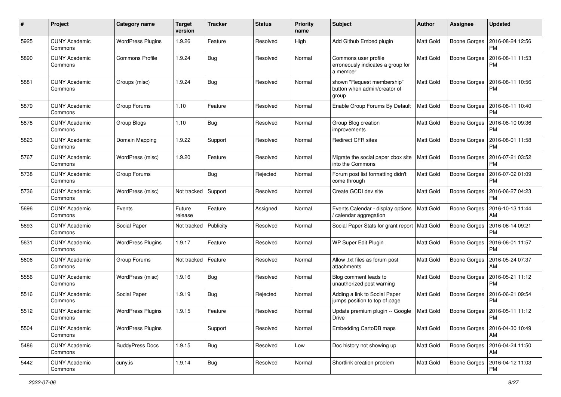| #    | Project                         | <b>Category name</b>     | <b>Target</b><br>version | <b>Tracker</b> | <b>Status</b> | <b>Priority</b><br>name | Subject                                                               | Author           | <b>Assignee</b>     | <b>Updated</b>                        |
|------|---------------------------------|--------------------------|--------------------------|----------------|---------------|-------------------------|-----------------------------------------------------------------------|------------------|---------------------|---------------------------------------|
| 5925 | <b>CUNY Academic</b><br>Commons | <b>WordPress Plugins</b> | 1.9.26                   | Feature        | Resolved      | High                    | Add Github Embed plugin                                               | <b>Matt Gold</b> | <b>Boone Gorges</b> | 2016-08-24 12:56<br><b>PM</b>         |
| 5890 | <b>CUNY Academic</b><br>Commons | <b>Commons Profile</b>   | 1.9.24                   | Bug            | Resolved      | Normal                  | Commons user profile<br>erroneously indicates a group for<br>a member | <b>Matt Gold</b> | <b>Boone Gorges</b> | 2016-08-11 11:53<br><b>PM</b>         |
| 5881 | <b>CUNY Academic</b><br>Commons | Groups (misc)            | 1.9.24                   | Bug            | Resolved      | Normal                  | shown "Request membership"<br>button when admin/creator of<br>group   | <b>Matt Gold</b> | <b>Boone Gorges</b> | 2016-08-11 10:56<br>PM                |
| 5879 | <b>CUNY Academic</b><br>Commons | Group Forums             | 1.10                     | Feature        | Resolved      | Normal                  | Enable Group Forums By Default                                        | <b>Matt Gold</b> | Boone Gorges        | 2016-08-11 10:40<br><b>PM</b>         |
| 5878 | <b>CUNY Academic</b><br>Commons | Group Blogs              | 1.10                     | Bug            | Resolved      | Normal                  | Group Blog creation<br>improvements                                   | Matt Gold        | <b>Boone Gorges</b> | 2016-08-10 09:36<br><b>PM</b>         |
| 5823 | <b>CUNY Academic</b><br>Commons | Domain Mapping           | 1.9.22                   | Support        | Resolved      | Normal                  | <b>Redirect CFR sites</b>                                             | Matt Gold        | <b>Boone Gorges</b> | 2016-08-01 11:58<br>PM                |
| 5767 | <b>CUNY Academic</b><br>Commons | WordPress (misc)         | 1.9.20                   | Feature        | Resolved      | Normal                  | Migrate the social paper cbox site<br>into the Commons                | <b>Matt Gold</b> | Boone Gorges        | 2016-07-21 03:52<br><b>PM</b>         |
| 5738 | <b>CUNY Academic</b><br>Commons | Group Forums             |                          | Bug            | Rejected      | Normal                  | Forum post list formatting didn't<br>come through                     | Matt Gold        | <b>Boone Gorges</b> | 2016-07-02 01:09<br><b>PM</b>         |
| 5736 | <b>CUNY Academic</b><br>Commons | WordPress (misc)         | Not tracked              | Support        | Resolved      | Normal                  | Create GCDI dev site                                                  | <b>Matt Gold</b> | Boone Gorges        | 2016-06-27 04:23<br><b>PM</b>         |
| 5696 | <b>CUNY Academic</b><br>Commons | Events                   | Future<br>release        | Feature        | Assigned      | Normal                  | Events Calendar - display options<br>/ calendar aggregation           | <b>Matt Gold</b> | <b>Boone Gorges</b> | 2016-10-13 11:44<br>AM                |
| 5693 | <b>CUNY Academic</b><br>Commons | Social Paper             | Not tracked              | Publicity      | Resolved      | Normal                  | Social Paper Stats for grant report   Matt Gold                       |                  | <b>Boone Gorges</b> | 2016-06-14 09:21<br><b>PM</b>         |
| 5631 | <b>CUNY Academic</b><br>Commons | <b>WordPress Plugins</b> | 1.9.17                   | Feature        | Resolved      | Normal                  | WP Super Edit Plugin                                                  | Matt Gold        | Boone Gorges        | 2016-06-01 11:57<br><b>PM</b>         |
| 5606 | <b>CUNY Academic</b><br>Commons | Group Forums             | Not tracked              | Feature        | Resolved      | Normal                  | Allow .txt files as forum post<br>attachments                         | <b>Matt Gold</b> | <b>Boone Gorges</b> | 2016-05-24 07:37<br>AM                |
| 5556 | <b>CUNY Academic</b><br>Commons | WordPress (misc)         | 1.9.16                   | Bug            | Resolved      | Normal                  | Blog comment leads to<br>unauthorized post warning                    | <b>Matt Gold</b> | Boone Gorges        | 2016-05-21 11:12<br><b>PM</b>         |
| 5516 | <b>CUNY Academic</b><br>Commons | Social Paper             | 1.9.19                   | Bug            | Rejected      | Normal                  | Adding a link to Social Paper<br>jumps position to top of page        | <b>Matt Gold</b> | Boone Gorges        | 2016-06-21 09:54<br><b>PM</b>         |
| 5512 | <b>CUNY Academic</b><br>Commons | <b>WordPress Plugins</b> | 1.9.15                   | Feature        | Resolved      | Normal                  | Update premium plugin -- Google<br><b>Drive</b>                       | <b>Matt Gold</b> | Boone Gorges        | 2016-05-11 11:12<br>PM                |
| 5504 | <b>CUNY Academic</b><br>Commons | <b>WordPress Plugins</b> |                          | Support        | Resolved      | Normal                  | Embedding CartoDB maps                                                | <b>Matt Gold</b> | <b>Boone Gorges</b> | 2016-04-30 10:49<br>AM                |
| 5486 | <b>CUNY Academic</b><br>Commons | <b>BuddyPress Docs</b>   | 1.9.15                   | <b>Bug</b>     | Resolved      | Low                     | Doc history not showing up                                            | <b>Matt Gold</b> |                     | Boone Gorges   2016-04-24 11:50<br>AM |
| 5442 | <b>CUNY Academic</b><br>Commons | cuny.is                  | 1.9.14                   | Bug            | Resolved      | Normal                  | Shortlink creation problem                                            | Matt Gold        | <b>Boone Gorges</b> | 2016-04-12 11:03<br>PM                |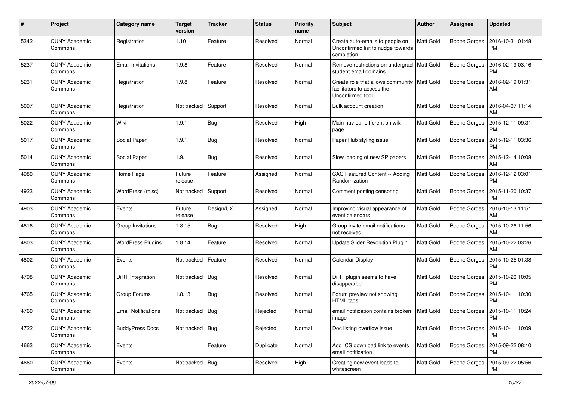| #    | Project                         | <b>Category name</b>       | Target<br>version | <b>Tracker</b> | <b>Status</b> | <b>Priority</b><br>name | <b>Subject</b>                                                                                  | <b>Author</b>    | <b>Assignee</b>     | <b>Updated</b>                               |
|------|---------------------------------|----------------------------|-------------------|----------------|---------------|-------------------------|-------------------------------------------------------------------------------------------------|------------------|---------------------|----------------------------------------------|
| 5342 | <b>CUNY Academic</b><br>Commons | Registration               | 1.10              | Feature        | Resolved      | Normal                  | Create auto-emails to people on<br>Unconfirmed list to nudge towards<br>completion              | Matt Gold        | <b>Boone Gorges</b> | 2016-10-31 01:48<br><b>PM</b>                |
| 5237 | <b>CUNY Academic</b><br>Commons | <b>Email Invitations</b>   | 1.9.8             | Feature        | Resolved      | Normal                  | Remove restrictions on undergrad   Matt Gold<br>student email domains                           |                  | Boone Gorges        | 2016-02-19 03:16<br>PM                       |
| 5231 | <b>CUNY Academic</b><br>Commons | Registration               | 1.9.8             | Feature        | Resolved      | Normal                  | Create role that allows community   Matt Gold<br>facilitators to access the<br>Unconfirmed tool |                  | <b>Boone Gorges</b> | 2016-02-19 01:31<br>AM                       |
| 5097 | <b>CUNY Academic</b><br>Commons | Registration               | Not tracked       | Support        | Resolved      | Normal                  | <b>Bulk account creation</b>                                                                    | <b>Matt Gold</b> | Boone Gorges        | 2016-04-07 11:14<br><b>AM</b>                |
| 5022 | <b>CUNY Academic</b><br>Commons | Wiki                       | 1.9.1             | Bug            | Resolved      | High                    | Main nav bar different on wiki<br>page                                                          | <b>Matt Gold</b> | Boone Gorges        | 2015-12-11 09:31<br><b>PM</b>                |
| 5017 | <b>CUNY Academic</b><br>Commons | Social Paper               | 1.9.1             | Bug            | Resolved      | Normal                  | Paper Hub styling issue                                                                         | <b>Matt Gold</b> | <b>Boone Gorges</b> | 2015-12-11 03:36<br><b>PM</b>                |
| 5014 | <b>CUNY Academic</b><br>Commons | Social Paper               | 1.9.1             | Bug            | Resolved      | Normal                  | Slow loading of new SP papers                                                                   | <b>Matt Gold</b> | Boone Gorges        | 2015-12-14 10:08<br>AM                       |
| 4980 | <b>CUNY Academic</b><br>Commons | Home Page                  | Future<br>release | Feature        | Assigned      | Normal                  | CAC Featured Content -- Adding<br>Randomization                                                 | <b>Matt Gold</b> | <b>Boone Gorges</b> | 2016-12-12 03:01<br><b>PM</b>                |
| 4923 | <b>CUNY Academic</b><br>Commons | WordPress (misc)           | Not tracked       | Support        | Resolved      | Normal                  | Comment posting censoring                                                                       | Matt Gold        | Boone Gorges        | 2015-11-20 10:37<br><b>PM</b>                |
| 4903 | <b>CUNY Academic</b><br>Commons | Events                     | Future<br>release | Design/UX      | Assigned      | Normal                  | Improving visual appearance of<br>event calendars                                               | <b>Matt Gold</b> | <b>Boone Gorges</b> | 2016-10-13 11:51<br>AM                       |
| 4816 | <b>CUNY Academic</b><br>Commons | Group Invitations          | 1.8.15            | Bug            | Resolved      | High                    | Group invite email notifications<br>not received                                                | <b>Matt Gold</b> | Boone Gorges        | 2015-10-26 11:56<br><b>AM</b>                |
| 4803 | <b>CUNY Academic</b><br>Commons | <b>WordPress Plugins</b>   | 1.8.14            | Feature        | Resolved      | Normal                  | <b>Update Slider Revolution Plugin</b>                                                          | Matt Gold        | Boone Gorges        | 2015-10-22 03:26<br>AM                       |
| 4802 | <b>CUNY Academic</b><br>Commons | Events                     | Not tracked       | Feature        | Resolved      | Normal                  | Calendar Display                                                                                | <b>Matt Gold</b> | Boone Gorges        | 2015-10-25 01:38<br><b>PM</b>                |
| 4798 | <b>CUNY Academic</b><br>Commons | DiRT Integration           | Not tracked       | Bug            | Resolved      | Normal                  | DiRT plugin seems to have<br>disappeared                                                        | Matt Gold        | Boone Gorges        | 2015-10-20 10:05<br><b>PM</b>                |
| 4765 | <b>CUNY Academic</b><br>Commons | Group Forums               | 1.8.13            | Bug            | Resolved      | Normal                  | Forum preview not showing<br>HTML tags                                                          | <b>Matt Gold</b> | <b>Boone Gorges</b> | 2015-10-11 10:30<br><b>PM</b>                |
| 4760 | <b>CUNY Academic</b><br>Commons | <b>Email Notifications</b> | Not tracked       | <b>Bug</b>     | Rejected      | Normal                  | email notification contains broken<br>ımage                                                     | <b>Matt Gold</b> | Boone Gorges        | 2015-10-11 10:24<br>PM                       |
| 4722 | <b>CUNY Academic</b><br>Commons | <b>BuddyPress Docs</b>     | Not tracked       | Bug            | Rejected      | Normal                  | Doc listing overflow issue                                                                      | <b>Matt Gold</b> |                     | Boone Gorges   2015-10-11 10:09<br><b>PM</b> |
| 4663 | <b>CUNY Academic</b><br>Commons | Events                     |                   | Feature        | Duplicate     | Normal                  | Add ICS download link to events<br>email notification                                           | <b>Matt Gold</b> | <b>Boone Gorges</b> | 2015-09-22 08:10<br><b>PM</b>                |
| 4660 | <b>CUNY Academic</b><br>Commons | Events                     | Not tracked   Bug |                | Resolved      | High                    | Creating new event leads to<br>whitescreen                                                      | Matt Gold        | <b>Boone Gorges</b> | 2015-09-22 05:56<br>PM                       |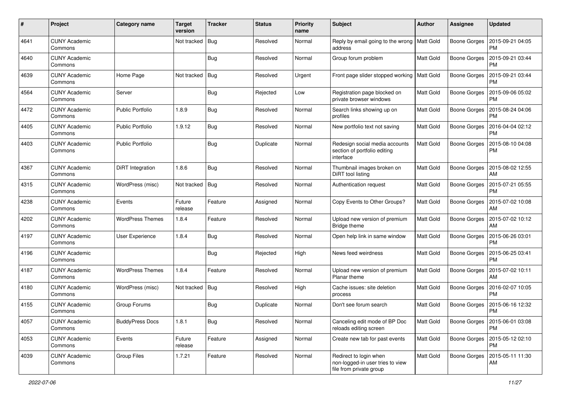| #    | Project                         | <b>Category name</b>    | <b>Target</b><br>version | <b>Tracker</b> | <b>Status</b> | <b>Priority</b><br>name | <b>Subject</b>                                                                        | Author           | <b>Assignee</b>     | <b>Updated</b>                               |
|------|---------------------------------|-------------------------|--------------------------|----------------|---------------|-------------------------|---------------------------------------------------------------------------------------|------------------|---------------------|----------------------------------------------|
| 4641 | <b>CUNY Academic</b><br>Commons |                         | Not tracked              | Bug            | Resolved      | Normal                  | Reply by email going to the wrong<br>address                                          | Matt Gold        | <b>Boone Gorges</b> | 2015-09-21 04:05<br><b>PM</b>                |
| 4640 | <b>CUNY Academic</b><br>Commons |                         |                          | Bug            | Resolved      | Normal                  | Group forum problem                                                                   | Matt Gold        | Boone Gorges        | 2015-09-21 03:44<br><b>PM</b>                |
| 4639 | <b>CUNY Academic</b><br>Commons | Home Page               | Not tracked              | Bug            | Resolved      | Urgent                  | Front page slider stopped working                                                     | <b>Matt Gold</b> | Boone Gorges        | 2015-09-21 03:44<br><b>PM</b>                |
| 4564 | <b>CUNY Academic</b><br>Commons | Server                  |                          | Bug            | Rejected      | Low                     | Registration page blocked on<br>private browser windows                               | <b>Matt Gold</b> | Boone Gorges        | 2015-09-06 05:02<br><b>PM</b>                |
| 4472 | <b>CUNY Academic</b><br>Commons | <b>Public Portfolio</b> | 1.8.9                    | Bug            | Resolved      | Normal                  | Search links showing up on<br>profiles                                                | <b>Matt Gold</b> | Boone Gorges        | 2015-08-24 04:06<br><b>PM</b>                |
| 4405 | <b>CUNY Academic</b><br>Commons | <b>Public Portfolio</b> | 1.9.12                   | Bug            | Resolved      | Normal                  | New portfolio text not saving                                                         | <b>Matt Gold</b> | Boone Gorges        | 2016-04-04 02:12<br><b>PM</b>                |
| 4403 | <b>CUNY Academic</b><br>Commons | <b>Public Portfolio</b> |                          | Bug            | Duplicate     | Normal                  | Redesign social media accounts<br>section of portfolio editing<br>interface           | Matt Gold        | Boone Gorges        | 2015-08-10 04:08<br><b>PM</b>                |
| 4367 | <b>CUNY Academic</b><br>Commons | DiRT Integration        | 1.8.6                    | Bug            | Resolved      | Normal                  | Thumbnail images broken on<br>DiRT tool listing                                       | <b>Matt Gold</b> | Boone Gorges        | 2015-08-02 12:55<br>AM                       |
| 4315 | <b>CUNY Academic</b><br>Commons | WordPress (misc)        | Not tracked              | Bug            | Resolved      | Normal                  | Authentication request                                                                | Matt Gold        | Boone Gorges        | 2015-07-21 05:55<br><b>PM</b>                |
| 4238 | <b>CUNY Academic</b><br>Commons | Events                  | Future<br>release        | Feature        | Assigned      | Normal                  | Copy Events to Other Groups?                                                          | <b>Matt Gold</b> | Boone Gorges        | 2015-07-02 10:08<br>AM                       |
| 4202 | <b>CUNY Academic</b><br>Commons | <b>WordPress Themes</b> | 1.8.4                    | Feature        | Resolved      | Normal                  | Upload new version of premium<br>Bridge theme                                         | Matt Gold        | Boone Gorges        | 2015-07-02 10:12<br>AM                       |
| 4197 | <b>CUNY Academic</b><br>Commons | User Experience         | 1.8.4                    | Bug            | Resolved      | Normal                  | Open help link in same window                                                         | <b>Matt Gold</b> | Boone Gorges        | 2015-06-26 03:01<br><b>PM</b>                |
| 4196 | <b>CUNY Academic</b><br>Commons |                         |                          | Bug            | Rejected      | High                    | News feed weirdness                                                                   | Matt Gold        | Boone Gorges        | 2015-06-25 03:41<br><b>PM</b>                |
| 4187 | <b>CUNY Academic</b><br>Commons | <b>WordPress Themes</b> | 1.8.4                    | Feature        | Resolved      | Normal                  | Upload new version of premium<br>Planar theme                                         | Matt Gold        |                     | Boone Gorges   2015-07-02 10:11<br>AM        |
| 4180 | <b>CUNY Academic</b><br>Commons | WordPress (misc)        | Not tracked              | Bug            | Resolved      | High                    | Cache issues: site deletion<br>process                                                | Matt Gold        | Boone Gorges        | 2016-02-07 10:05<br><b>PM</b>                |
| 4155 | <b>CUNY Academic</b><br>Commons | Group Forums            |                          | Bug            | Duplicate     | Normal                  | Don't see forum search                                                                | <b>Matt Gold</b> | Boone Gorges        | 2015-06-16 12:32<br>PM                       |
| 4057 | <b>CUNY Academic</b><br>Commons | <b>BuddyPress Docs</b>  | 1.8.1                    | <b>Bug</b>     | Resolved      | Normal                  | Canceling edit mode of BP Doc<br>reloads editing screen                               | Matt Gold        |                     | Boone Gorges   2015-06-01 03:08<br><b>PM</b> |
| 4053 | <b>CUNY Academic</b><br>Commons | Events                  | Future<br>release        | Feature        | Assigned      | Normal                  | Create new tab for past events                                                        | Matt Gold        |                     | Boone Gorges   2015-05-12 02:10<br>PM        |
| 4039 | <b>CUNY Academic</b><br>Commons | Group Files             | 1.7.21                   | Feature        | Resolved      | Normal                  | Redirect to login when<br>non-logged-in user tries to view<br>file from private group | Matt Gold        | Boone Gorges        | 2015-05-11 11:30<br>AM                       |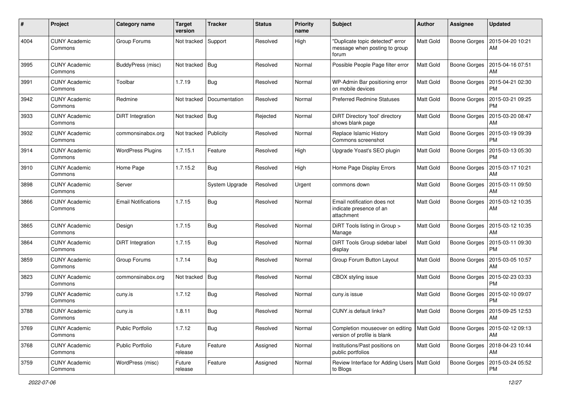| #    | Project                         | Category name              | <b>Target</b><br>version | <b>Tracker</b> | <b>Status</b> | <b>Priority</b><br>name | <b>Subject</b>                                                             | Author           | <b>Assignee</b>     | <b>Updated</b>                               |
|------|---------------------------------|----------------------------|--------------------------|----------------|---------------|-------------------------|----------------------------------------------------------------------------|------------------|---------------------|----------------------------------------------|
| 4004 | <b>CUNY Academic</b><br>Commons | Group Forums               | Not tracked              | Support        | Resolved      | High                    | "Duplicate topic detected" error<br>message when posting to group<br>forum | Matt Gold        | Boone Gorges        | 2015-04-20 10:21<br>AM                       |
| 3995 | <b>CUNY Academic</b><br>Commons | BuddyPress (misc)          | Not tracked              | Bug            | Resolved      | Normal                  | Possible People Page filter error                                          | Matt Gold        | Boone Gorges        | 2015-04-16 07:51<br>AM                       |
| 3991 | <b>CUNY Academic</b><br>Commons | Toolbar                    | 1.7.19                   | Bug            | Resolved      | Normal                  | WP-Admin Bar positioning error<br>on mobile devices                        | Matt Gold        |                     | Boone Gorges   2015-04-21 02:30<br><b>PM</b> |
| 3942 | <b>CUNY Academic</b><br>Commons | Redmine                    | Not tracked              | Documentation  | Resolved      | Normal                  | <b>Preferred Redmine Statuses</b>                                          | <b>Matt Gold</b> | Boone Gorges        | 2015-03-21 09:25<br><b>PM</b>                |
| 3933 | <b>CUNY Academic</b><br>Commons | DiRT Integration           | Not tracked              | Bug            | Rejected      | Normal                  | DiRT Directory 'tool' directory<br>shows blank page                        | <b>Matt Gold</b> | <b>Boone Gorges</b> | 2015-03-20 08:47<br>AM                       |
| 3932 | <b>CUNY Academic</b><br>Commons | commonsinabox.org          | Not tracked              | Publicity      | Resolved      | Normal                  | Replace Islamic History<br>Commons screenshot                              | <b>Matt Gold</b> |                     | Boone Gorges   2015-03-19 09:39<br><b>PM</b> |
| 3914 | <b>CUNY Academic</b><br>Commons | <b>WordPress Plugins</b>   | 1.7.15.1                 | Feature        | Resolved      | High                    | Upgrade Yoast's SEO plugin                                                 | <b>Matt Gold</b> | Boone Gorges        | 2015-03-13 05:30<br><b>PM</b>                |
| 3910 | <b>CUNY Academic</b><br>Commons | Home Page                  | 1.7.15.2                 | Bug            | Resolved      | High                    | Home Page Display Errors                                                   | Matt Gold        | Boone Gorges        | 2015-03-17 10:21<br>AM                       |
| 3898 | <b>CUNY Academic</b><br>Commons | Server                     |                          | System Upgrade | Resolved      | Urgent                  | commons down                                                               | Matt Gold        | Boone Gorges        | 2015-03-11 09:50<br>AM                       |
| 3866 | <b>CUNY Academic</b><br>Commons | <b>Email Notifications</b> | 1.7.15                   | Bug            | Resolved      | Normal                  | Email notification does not<br>indicate presence of an<br>attachment       | Matt Gold        | Boone Gorges        | 2015-03-12 10:35<br>AM                       |
| 3865 | <b>CUNY Academic</b><br>Commons | Design                     | 1.7.15                   | Bug            | Resolved      | Normal                  | DiRT Tools listing in Group ><br>Manage                                    | Matt Gold        | Boone Gorges        | 2015-03-12 10:35<br>AM                       |
| 3864 | <b>CUNY Academic</b><br>Commons | DiRT Integration           | 1.7.15                   | Bug            | Resolved      | Normal                  | DiRT Tools Group sidebar label<br>display                                  | Matt Gold        | Boone Gorges        | 2015-03-11 09:30<br><b>PM</b>                |
| 3859 | <b>CUNY Academic</b><br>Commons | Group Forums               | 1.7.14                   | <b>Bug</b>     | Resolved      | Normal                  | Group Forum Button Layout                                                  | <b>Matt Gold</b> | <b>Boone Gorges</b> | 2015-03-05 10:57<br>AM                       |
| 3823 | <b>CUNY Academic</b><br>Commons | commonsinabox.org          | Not tracked              | Bug            | Resolved      | Normal                  | CBOX styling issue                                                         | Matt Gold        | Boone Gorges        | 2015-02-23 03:33<br><b>PM</b>                |
| 3799 | <b>CUNY Academic</b><br>Commons | cuny.is                    | 1.7.12                   | <b>Bug</b>     | Resolved      | Normal                  | cuny.is issue                                                              | <b>Matt Gold</b> | Boone Gorges        | 2015-02-10 09:07<br>PM                       |
| 3788 | <b>CUNY Academic</b><br>Commons | cuny.is                    | 1.8.11                   | Bug            | Resolved      | Normal                  | CUNY.is default links?                                                     | Matt Gold        |                     | Boone Gorges   2015-09-25 12:53<br>AM        |
| 3769 | <b>CUNY Academic</b><br>Commons | <b>Public Portfolio</b>    | 1.7.12                   | Bug            | Resolved      | Normal                  | Completion mouseover on editing<br>version of profile is blank             | Matt Gold        |                     | Boone Gorges   2015-02-12 09:13<br>AM        |
| 3768 | <b>CUNY Academic</b><br>Commons | <b>Public Portfolio</b>    | Future<br>release        | Feature        | Assigned      | Normal                  | Institutions/Past positions on<br>public portfolios                        | Matt Gold        |                     | Boone Gorges   2018-04-23 10:44<br>AM        |
| 3759 | <b>CUNY Academic</b><br>Commons | WordPress (misc)           | Future<br>release        | Feature        | Assigned      | Normal                  | Review Interface for Adding Users   Matt Gold<br>to Blogs                  |                  | Boone Gorges        | 2015-03-24 05:52<br><b>PM</b>                |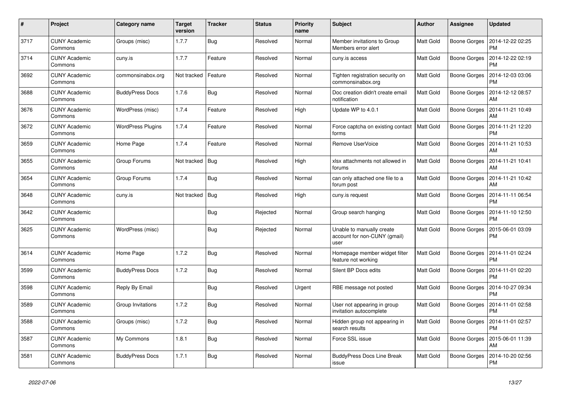| $\#$ | Project                         | Category name            | <b>Target</b><br>version | <b>Tracker</b> | <b>Status</b> | <b>Priority</b><br>name | <b>Subject</b>                                                    | Author           | <b>Assignee</b>     | <b>Updated</b>                |
|------|---------------------------------|--------------------------|--------------------------|----------------|---------------|-------------------------|-------------------------------------------------------------------|------------------|---------------------|-------------------------------|
| 3717 | <b>CUNY Academic</b><br>Commons | Groups (misc)            | 1.7.7                    | Bug            | Resolved      | Normal                  | Member invitations to Group<br>Members error alert                | Matt Gold        | Boone Gorges        | 2014-12-22 02:25<br><b>PM</b> |
| 3714 | <b>CUNY Academic</b><br>Commons | cuny.is                  | 1.7.7                    | Feature        | Resolved      | Normal                  | cuny.is access                                                    | Matt Gold        | Boone Gorges        | 2014-12-22 02:19<br><b>PM</b> |
| 3692 | <b>CUNY Academic</b><br>Commons | commonsinabox.org        | Not tracked              | Feature        | Resolved      | Normal                  | Tighten registration security on<br>commonsinabox.org             | Matt Gold        | Boone Gorges        | 2014-12-03 03:06<br><b>PM</b> |
| 3688 | <b>CUNY Academic</b><br>Commons | <b>BuddyPress Docs</b>   | 1.7.6                    | Bug            | Resolved      | Normal                  | Doc creation didn't create email<br>notification                  | Matt Gold        | <b>Boone Gorges</b> | 2014-12-12 08:57<br>AM        |
| 3676 | <b>CUNY Academic</b><br>Commons | WordPress (misc)         | 1.7.4                    | Feature        | Resolved      | High                    | Update WP to 4.0.1                                                | Matt Gold        | <b>Boone Gorges</b> | 2014-11-21 10:49<br>AM        |
| 3672 | <b>CUNY Academic</b><br>Commons | <b>WordPress Plugins</b> | 1.7.4                    | Feature        | Resolved      | Normal                  | Force captcha on existing contact<br>forms                        | <b>Matt Gold</b> | <b>Boone Gorges</b> | 2014-11-21 12:20<br><b>PM</b> |
| 3659 | <b>CUNY Academic</b><br>Commons | Home Page                | 1.7.4                    | Feature        | Resolved      | Normal                  | Remove UserVoice                                                  | Matt Gold        | <b>Boone Gorges</b> | 2014-11-21 10:53<br>AM        |
| 3655 | <b>CUNY Academic</b><br>Commons | Group Forums             | Not tracked              | Bug            | Resolved      | High                    | xlsx attachments not allowed in<br>forums                         | Matt Gold        | <b>Boone Gorges</b> | 2014-11-21 10:41<br>AM        |
| 3654 | <b>CUNY Academic</b><br>Commons | Group Forums             | 1.7.4                    | Bug            | Resolved      | Normal                  | can only attached one file to a<br>forum post                     | Matt Gold        | Boone Gorges        | 2014-11-21 10:42<br><b>AM</b> |
| 3648 | <b>CUNY Academic</b><br>Commons | cuny.is                  | Not tracked              | Bug            | Resolved      | High                    | cuny.is request                                                   | Matt Gold        | Boone Gorges        | 2014-11-11 06:54<br><b>PM</b> |
| 3642 | <b>CUNY Academic</b><br>Commons |                          |                          | <b>Bug</b>     | Rejected      | Normal                  | Group search hanging                                              | Matt Gold        | <b>Boone Gorges</b> | 2014-11-10 12:50<br><b>PM</b> |
| 3625 | <b>CUNY Academic</b><br>Commons | WordPress (misc)         |                          | Bug            | Rejected      | Normal                  | Unable to manually create<br>account for non-CUNY (gmail)<br>user | Matt Gold        | <b>Boone Gorges</b> | 2015-06-01 03:09<br><b>PM</b> |
| 3614 | <b>CUNY Academic</b><br>Commons | Home Page                | 1.7.2                    | <b>Bug</b>     | Resolved      | Normal                  | Homepage member widget filter<br>feature not working              | Matt Gold        | <b>Boone Gorges</b> | 2014-11-01 02:24<br><b>PM</b> |
| 3599 | <b>CUNY Academic</b><br>Commons | <b>BuddyPress Docs</b>   | 1.7.2                    | Bug            | Resolved      | Normal                  | Silent BP Docs edits                                              | Matt Gold        | Boone Gorges        | 2014-11-01 02:20<br><b>PM</b> |
| 3598 | <b>CUNY Academic</b><br>Commons | Reply By Email           |                          | <b>Bug</b>     | Resolved      | Urgent                  | RBE message not posted                                            | Matt Gold        | Boone Gorges        | 2014-10-27 09:34<br><b>PM</b> |
| 3589 | <b>CUNY Academic</b><br>Commons | Group Invitations        | 1.7.2                    | <b>Bug</b>     | Resolved      | Normal                  | User not appearing in group<br>invitation autocomplete            | Matt Gold        | <b>Boone Gorges</b> | 2014-11-01 02:58<br><b>PM</b> |
| 3588 | <b>CUNY Academic</b><br>Commons | Groups (misc)            | 1.7.2                    | Bug            | Resolved      | Normal                  | Hidden group not appearing in<br>search results                   | Matt Gold        | Boone Gorges        | 2014-11-01 02:57<br><b>PM</b> |
| 3587 | <b>CUNY Academic</b><br>Commons | My Commons               | 1.8.1                    | <b>Bug</b>     | Resolved      | Normal                  | Force SSL issue                                                   | Matt Gold        | Boone Gorges        | 2015-06-01 11:39<br>AM        |
| 3581 | <b>CUNY Academic</b><br>Commons | <b>BuddyPress Docs</b>   | 1.7.1                    | Bug            | Resolved      | Normal                  | <b>BuddyPress Docs Line Break</b><br>issue                        | Matt Gold        | Boone Gorges        | 2014-10-20 02:56<br><b>PM</b> |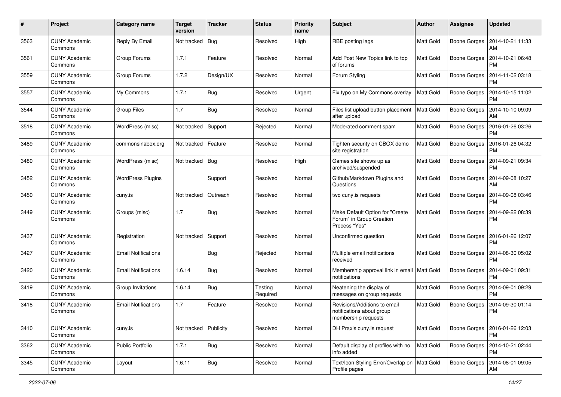| #    | Project                         | Category name              | <b>Target</b><br>version | <b>Tracker</b> | <b>Status</b>       | <b>Priority</b><br>name | <b>Subject</b>                                                                   | <b>Author</b>    | <b>Assignee</b>     | <b>Updated</b>                |
|------|---------------------------------|----------------------------|--------------------------|----------------|---------------------|-------------------------|----------------------------------------------------------------------------------|------------------|---------------------|-------------------------------|
| 3563 | <b>CUNY Academic</b><br>Commons | Reply By Email             | Not tracked              | Bug            | Resolved            | High                    | RBE posting lags                                                                 | Matt Gold        | Boone Gorges        | 2014-10-21 11:33<br>AM        |
| 3561 | <b>CUNY Academic</b><br>Commons | Group Forums               | 1.7.1                    | Feature        | Resolved            | Normal                  | Add Post New Topics link to top<br>of forums                                     | Matt Gold        | <b>Boone Gorges</b> | 2014-10-21 06:48<br><b>PM</b> |
| 3559 | CUNY Academic<br>Commons        | Group Forums               | 1.7.2                    | Design/UX      | Resolved            | Normal                  | Forum Styling                                                                    | Matt Gold        | <b>Boone Gorges</b> | 2014-11-02 03:18<br><b>PM</b> |
| 3557 | <b>CUNY Academic</b><br>Commons | My Commons                 | 1.7.1                    | Bug            | Resolved            | Urgent                  | Fix typo on My Commons overlay                                                   | <b>Matt Gold</b> | <b>Boone Gorges</b> | 2014-10-15 11:02<br><b>PM</b> |
| 3544 | <b>CUNY Academic</b><br>Commons | <b>Group Files</b>         | 1.7                      | <b>Bug</b>     | Resolved            | Normal                  | Files list upload button placement<br>after upload                               | <b>Matt Gold</b> | <b>Boone Gorges</b> | 2014-10-10 09:09<br>AM        |
| 3518 | <b>CUNY Academic</b><br>Commons | WordPress (misc)           | Not tracked              | Support        | Rejected            | Normal                  | Moderated comment spam                                                           | Matt Gold        | Boone Gorges        | 2016-01-26 03:26<br><b>PM</b> |
| 3489 | <b>CUNY Academic</b><br>Commons | commonsinabox.org          | Not tracked              | Feature        | Resolved            | Normal                  | Tighten security on CBOX demo<br>site registration                               | Matt Gold        | Boone Gorges        | 2016-01-26 04:32<br><b>PM</b> |
| 3480 | <b>CUNY Academic</b><br>Commons | WordPress (misc)           | Not tracked              | Bug            | Resolved            | High                    | Games site shows up as<br>archived/suspended                                     | Matt Gold        | Boone Gorges        | 2014-09-21 09:34<br><b>PM</b> |
| 3452 | <b>CUNY Academic</b><br>Commons | <b>WordPress Plugins</b>   |                          | Support        | Resolved            | Normal                  | Github/Markdown Plugins and<br>Questions                                         | <b>Matt Gold</b> | <b>Boone Gorges</b> | 2014-09-08 10:27<br><b>AM</b> |
| 3450 | CUNY Academic<br>Commons        | cuny.is                    | Not tracked              | Outreach       | Resolved            | Normal                  | two cuny.is requests                                                             | Matt Gold        | Boone Gorges        | 2014-09-08 03:46<br><b>PM</b> |
| 3449 | <b>CUNY Academic</b><br>Commons | Groups (misc)              | 1.7                      | Bug            | Resolved            | Normal                  | Make Default Option for "Create<br>Forum" in Group Creation<br>Process "Yes"     | Matt Gold        | <b>Boone Gorges</b> | 2014-09-22 08:39<br><b>PM</b> |
| 3437 | <b>CUNY Academic</b><br>Commons | Registration               | Not tracked              | Support        | Resolved            | Normal                  | Unconfirmed question                                                             | <b>Matt Gold</b> | Boone Gorges        | 2016-01-26 12:07<br>PM        |
| 3427 | <b>CUNY Academic</b><br>Commons | <b>Email Notifications</b> |                          | Bug            | Rejected            | Normal                  | Multiple email notifications<br>received                                         | Matt Gold        | Boone Gorges        | 2014-08-30 05:02<br><b>PM</b> |
| 3420 | <b>CUNY Academic</b><br>Commons | <b>Email Notifications</b> | 1.6.14                   | Bug            | Resolved            | Normal                  | Membership approval link in email   Matt Gold<br>notifications                   |                  | <b>Boone Gorges</b> | 2014-09-01 09:31<br><b>PM</b> |
| 3419 | <b>CUNY Academic</b><br>Commons | Group Invitations          | 1.6.14                   | Bug            | Testing<br>Required | Normal                  | Neatening the display of<br>messages on group requests                           | Matt Gold        | Boone Gorges        | 2014-09-01 09:29<br><b>PM</b> |
| 3418 | <b>CUNY Academic</b><br>Commons | <b>Email Notifications</b> | 1.7                      | Feature        | Resolved            | Normal                  | Revisions/Additions to email<br>notifications about group<br>membership requests | Matt Gold        | <b>Boone Gorges</b> | 2014-09-30 01:14<br><b>PM</b> |
| 3410 | <b>CUNY Academic</b><br>Commons | cuny.is                    | Not tracked              | Publicity      | Resolved            | Normal                  | DH Praxis cuny.is request                                                        | Matt Gold        | Boone Gorges        | 2016-01-26 12:03<br><b>PM</b> |
| 3362 | <b>CUNY Academic</b><br>Commons | <b>Public Portfolio</b>    | 1.7.1                    | <b>Bug</b>     | Resolved            | Normal                  | Default display of profiles with no<br>info added                                | Matt Gold        | Boone Gorges        | 2014-10-21 02:44<br><b>PM</b> |
| 3345 | <b>CUNY Academic</b><br>Commons | Layout                     | 1.6.11                   | <b>Bug</b>     | Resolved            | Normal                  | Text/Icon Styling Error/Overlap on   Matt Gold<br>Profile pages                  |                  | Boone Gorges        | 2014-08-01 09:05<br>AM        |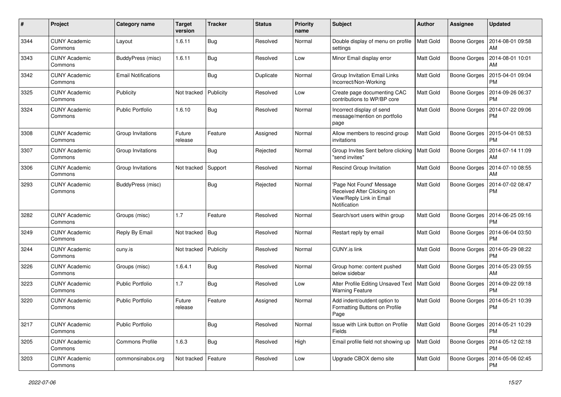| #    | Project                         | Category name              | <b>Target</b><br>version | <b>Tracker</b> | <b>Status</b> | <b>Priority</b><br>name | <b>Subject</b>                                                                                     | <b>Author</b>    | <b>Assignee</b>     | <b>Updated</b>                               |
|------|---------------------------------|----------------------------|--------------------------|----------------|---------------|-------------------------|----------------------------------------------------------------------------------------------------|------------------|---------------------|----------------------------------------------|
| 3344 | <b>CUNY Academic</b><br>Commons | Layout                     | 1.6.11                   | <b>Bug</b>     | Resolved      | Normal                  | Double display of menu on profile<br>settings                                                      | <b>Matt Gold</b> | <b>Boone Gorges</b> | 2014-08-01 09:58<br>AM                       |
| 3343 | <b>CUNY Academic</b><br>Commons | BuddyPress (misc)          | 1.6.11                   | Bug            | Resolved      | Low                     | Minor Email display error                                                                          | <b>Matt Gold</b> | <b>Boone Gorges</b> | 2014-08-01 10:01<br>AM                       |
| 3342 | <b>CUNY Academic</b><br>Commons | <b>Email Notifications</b> |                          | <b>Bug</b>     | Duplicate     | Normal                  | Group Invitation Email Links<br>Incorrect/Non-Working                                              | Matt Gold        | Boone Gorges        | 2015-04-01 09:04<br><b>PM</b>                |
| 3325 | <b>CUNY Academic</b><br>Commons | Publicity                  | Not tracked              | Publicity      | Resolved      | Low                     | Create page documenting CAC<br>contributions to WP/BP core                                         | <b>Matt Gold</b> | <b>Boone Gorges</b> | 2014-09-26 06:37<br><b>PM</b>                |
| 3324 | <b>CUNY Academic</b><br>Commons | <b>Public Portfolio</b>    | 1.6.10                   | Bug            | Resolved      | Normal                  | Incorrect display of send<br>message/mention on portfolio<br>page                                  | <b>Matt Gold</b> | <b>Boone Gorges</b> | 2014-07-22 09:06<br><b>PM</b>                |
| 3308 | <b>CUNY Academic</b><br>Commons | Group Invitations          | Future<br>release        | Feature        | Assigned      | Normal                  | Allow members to rescind group<br>invitations                                                      | Matt Gold        | Boone Gorges        | 2015-04-01 08:53<br><b>PM</b>                |
| 3307 | <b>CUNY Academic</b><br>Commons | Group Invitations          |                          | Bug            | Rejected      | Normal                  | Group Invites Sent before clicking<br>"send invites"                                               | <b>Matt Gold</b> | <b>Boone Gorges</b> | 2014-07-14 11:09<br><b>AM</b>                |
| 3306 | <b>CUNY Academic</b><br>Commons | Group Invitations          | Not tracked              | Support        | Resolved      | Normal                  | Rescind Group Invitation                                                                           | <b>Matt Gold</b> | <b>Boone Gorges</b> | 2014-07-10 08:55<br>AM                       |
| 3293 | <b>CUNY Academic</b><br>Commons | BuddyPress (misc)          |                          | <b>Bug</b>     | Rejected      | Normal                  | 'Page Not Found' Message<br>Received After Clicking on<br>View/Reply Link in Email<br>Notification | <b>Matt Gold</b> | <b>Boone Gorges</b> | 2014-07-02 08:47<br><b>PM</b>                |
| 3282 | <b>CUNY Academic</b><br>Commons | Groups (misc)              | 1.7                      | Feature        | Resolved      | Normal                  | Search/sort users within group                                                                     | <b>Matt Gold</b> | Boone Gorges        | 2014-06-25 09:16<br><b>PM</b>                |
| 3249 | <b>CUNY Academic</b><br>Commons | Reply By Email             | Not tracked              | Bug            | Resolved      | Normal                  | Restart reply by email                                                                             | <b>Matt Gold</b> | <b>Boone Gorges</b> | 2014-06-04 03:50<br><b>PM</b>                |
| 3244 | <b>CUNY Academic</b><br>Commons | cuny.is                    | Not tracked              | Publicity      | Resolved      | Normal                  | <b>CUNY.is link</b>                                                                                | <b>Matt Gold</b> | <b>Boone Gorges</b> | 2014-05-29 08:22<br><b>PM</b>                |
| 3226 | <b>CUNY Academic</b><br>Commons | Groups (misc)              | 1.6.4.1                  | <b>Bug</b>     | Resolved      | Normal                  | Group home: content pushed<br>below sidebar                                                        | <b>Matt Gold</b> | <b>Boone Gorges</b> | 2014-05-23 09:55<br>AM                       |
| 3223 | <b>CUNY Academic</b><br>Commons | <b>Public Portfolio</b>    | 1.7                      | <b>Bug</b>     | Resolved      | Low                     | Alter Profile Editing Unsaved Text<br><b>Warning Feature</b>                                       | Matt Gold        | Boone Gorges        | 2014-09-22 09:18<br><b>PM</b>                |
| 3220 | <b>CUNY Academic</b><br>Commons | <b>Public Portfolio</b>    | Future<br>release        | Feature        | Assigned      | Normal                  | Add indent/outdent option to<br>Formatting Buttons on Profile<br>Page                              | <b>Matt Gold</b> | <b>Boone Gorges</b> | 2014-05-21 10:39<br><b>PM</b>                |
| 3217 | <b>CUNY Academic</b><br>Commons | Public Portfolio           |                          | <b>Bug</b>     | Resolved      | Normal                  | Issue with Link button on Profile<br>Fields                                                        | Matt Gold        |                     | Boone Gorges   2014-05-21 10:29<br>PM        |
| 3205 | <b>CUNY Academic</b><br>Commons | Commons Profile            | 1.6.3                    | Bug            | Resolved      | High                    | Email profile field not showing up                                                                 | Matt Gold        |                     | Boone Gorges   2014-05-12 02:18<br><b>PM</b> |
| 3203 | <b>CUNY Academic</b><br>Commons | commonsinabox.org          | Not tracked              | Feature        | Resolved      | Low                     | Upgrade CBOX demo site                                                                             | Matt Gold        | <b>Boone Gorges</b> | 2014-05-06 02:45<br><b>PM</b>                |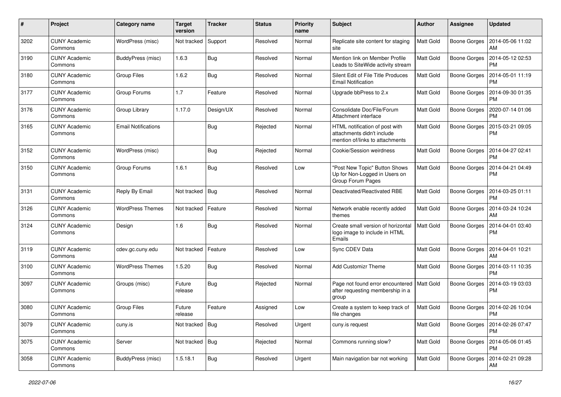| #    | Project                         | <b>Category name</b>       | <b>Target</b><br>version | <b>Tracker</b> | <b>Status</b> | <b>Priority</b><br>name | <b>Subject</b>                                                                                  | Author           | <b>Assignee</b>     | <b>Updated</b>                               |
|------|---------------------------------|----------------------------|--------------------------|----------------|---------------|-------------------------|-------------------------------------------------------------------------------------------------|------------------|---------------------|----------------------------------------------|
| 3202 | <b>CUNY Academic</b><br>Commons | WordPress (misc)           | Not tracked              | Support        | Resolved      | Normal                  | Replicate site content for staging<br>site                                                      | <b>Matt Gold</b> | <b>Boone Gorges</b> | 2014-05-06 11:02<br>AM                       |
| 3190 | <b>CUNY Academic</b><br>Commons | BuddyPress (misc)          | 1.6.3                    | Bug            | Resolved      | Normal                  | Mention link on Member Profile<br>Leads to SiteWide activity stream                             | <b>Matt Gold</b> | <b>Boone Gorges</b> | 2014-05-12 02:53<br><b>PM</b>                |
| 3180 | <b>CUNY Academic</b><br>Commons | <b>Group Files</b>         | 1.6.2                    | <b>Bug</b>     | Resolved      | Normal                  | Silent Edit of File Title Produces<br><b>Email Notification</b>                                 | Matt Gold        | <b>Boone Gorges</b> | 2014-05-01 11:19<br><b>PM</b>                |
| 3177 | <b>CUNY Academic</b><br>Commons | Group Forums               | 1.7                      | Feature        | Resolved      | Normal                  | Upgrade bbPress to 2.x                                                                          | <b>Matt Gold</b> | <b>Boone Gorges</b> | 2014-09-30 01:35<br><b>PM</b>                |
| 3176 | <b>CUNY Academic</b><br>Commons | Group Library              | 1.17.0                   | Design/UX      | Resolved      | Normal                  | Consolidate Doc/File/Forum<br>Attachment interface                                              | <b>Matt Gold</b> | <b>Boone Gorges</b> | 2020-07-14 01:06<br><b>PM</b>                |
| 3165 | <b>CUNY Academic</b><br>Commons | <b>Email Notifications</b> |                          | <b>Bug</b>     | Rejected      | Normal                  | HTML notification of post with<br>attachments didn't include<br>mention of/links to attachments | Matt Gold        | Boone Gorges        | 2015-03-21 09:05<br><b>PM</b>                |
| 3152 | <b>CUNY Academic</b><br>Commons | WordPress (misc)           |                          | <b>Bug</b>     | Rejected      | Normal                  | Cookie/Session weirdness                                                                        | <b>Matt Gold</b> | <b>Boone Gorges</b> | 2014-04-27 02:41<br><b>PM</b>                |
| 3150 | <b>CUNY Academic</b><br>Commons | Group Forums               | 1.6.1                    | <b>Bug</b>     | Resolved      | Low                     | "Post New Topic" Button Shows<br>Up for Non-Logged in Users on<br>Group Forum Pages             | Matt Gold        | <b>Boone Gorges</b> | 2014-04-21 04:49<br><b>PM</b>                |
| 3131 | <b>CUNY Academic</b><br>Commons | Reply By Email             | Not tracked              | Bug            | Resolved      | Normal                  | Deactivated/Reactivated RBE                                                                     | <b>Matt Gold</b> | Boone Gorges        | 2014-03-25 01:11<br><b>PM</b>                |
| 3126 | <b>CUNY Academic</b><br>Commons | <b>WordPress Themes</b>    | Not tracked              | Feature        | Resolved      | Normal                  | Network enable recently added<br>themes                                                         | <b>Matt Gold</b> | <b>Boone Gorges</b> | 2014-03-24 10:24<br>AM                       |
| 3124 | <b>CUNY Academic</b><br>Commons | Design                     | 1.6                      | <b>Bug</b>     | Resolved      | Normal                  | Create small version of horizontal<br>logo image to include in HTML<br>Emails                   | <b>Matt Gold</b> | <b>Boone Gorges</b> | 2014-04-01 03:40<br><b>PM</b>                |
| 3119 | <b>CUNY Academic</b><br>Commons | cdev.gc.cuny.edu           | Not tracked              | Feature        | Resolved      | Low                     | Sync CDEV Data                                                                                  | <b>Matt Gold</b> | Boone Gorges        | 2014-04-01 10:21<br>AM                       |
| 3100 | <b>CUNY Academic</b><br>Commons | <b>WordPress Themes</b>    | 1.5.20                   | <b>Bug</b>     | Resolved      | Normal                  | <b>Add Customizr Theme</b>                                                                      | <b>Matt Gold</b> | <b>Boone Gorges</b> | 2014-03-11 10:35<br><b>PM</b>                |
| 3097 | <b>CUNY Academic</b><br>Commons | Groups (misc)              | Future<br>release        | Bug            | Rejected      | Normal                  | Page not found error encountered<br>after requesting membership in a<br>group                   | <b>Matt Gold</b> | <b>Boone Gorges</b> | 2014-03-19 03:03<br><b>PM</b>                |
| 3080 | <b>CUNY Academic</b><br>Commons | <b>Group Files</b>         | Future<br>release        | Feature        | Assigned      | Low                     | Create a system to keep track of<br>file changes                                                | Matt Gold        | Boone Gorges        | 2014-02-26 10:04<br><b>PM</b>                |
| 3079 | <b>CUNY Academic</b><br>Commons | cuny.is                    | Not tracked              | Bug            | Resolved      | Urgent                  | cuny.is request                                                                                 | Matt Gold        |                     | Boone Gorges   2014-02-26 07:47<br>PM        |
| 3075 | <b>CUNY Academic</b><br>Commons | Server                     | Not tracked              | Bug            | Rejected      | Normal                  | Commons running slow?                                                                           | Matt Gold        |                     | Boone Gorges   2014-05-06 01:45<br><b>PM</b> |
| 3058 | <b>CUNY Academic</b><br>Commons | BuddyPress (misc)          | 1.5.18.1                 | <b>Bug</b>     | Resolved      | Urgent                  | Main navigation bar not working                                                                 | Matt Gold        | Boone Gorges        | 2014-02-21 09:28<br>AM                       |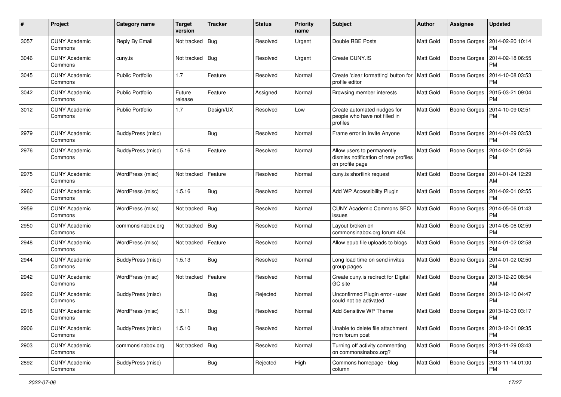| $\pmb{\#}$ | Project                         | <b>Category name</b>    | <b>Target</b><br>version | <b>Tracker</b> | <b>Status</b> | <b>Priority</b><br>name | Subject                                                                               | Author           | <b>Assignee</b>     | <b>Updated</b>                               |
|------------|---------------------------------|-------------------------|--------------------------|----------------|---------------|-------------------------|---------------------------------------------------------------------------------------|------------------|---------------------|----------------------------------------------|
| 3057       | <b>CUNY Academic</b><br>Commons | Reply By Email          | Not tracked              | <b>Bug</b>     | Resolved      | Urgent                  | Double RBE Posts                                                                      | <b>Matt Gold</b> | <b>Boone Gorges</b> | 2014-02-20 10:14<br><b>PM</b>                |
| 3046       | <b>CUNY Academic</b><br>Commons | cuny.is                 | Not tracked              | <b>Bug</b>     | Resolved      | Urgent                  | Create CUNY.IS                                                                        | <b>Matt Gold</b> | <b>Boone Gorges</b> | 2014-02-18 06:55<br><b>PM</b>                |
| 3045       | <b>CUNY Academic</b><br>Commons | <b>Public Portfolio</b> | 1.7                      | Feature        | Resolved      | Normal                  | Create 'clear formatting' button for   Matt Gold<br>profile editor                    |                  | <b>Boone Gorges</b> | 2014-10-08 03:53<br><b>PM</b>                |
| 3042       | <b>CUNY Academic</b><br>Commons | <b>Public Portfolio</b> | Future<br>release        | Feature        | Assigned      | Normal                  | Browsing member interests                                                             | Matt Gold        | <b>Boone Gorges</b> | 2015-03-21 09:04<br><b>PM</b>                |
| 3012       | <b>CUNY Academic</b><br>Commons | <b>Public Portfolio</b> | 1.7                      | Design/UX      | Resolved      | Low                     | Create automated nudges for<br>people who have not filled in<br>profiles              | <b>Matt Gold</b> | Boone Gorges        | 2014-10-09 02:51<br><b>PM</b>                |
| 2979       | <b>CUNY Academic</b><br>Commons | BuddyPress (misc)       |                          | <b>Bug</b>     | Resolved      | Normal                  | Frame error in Invite Anyone                                                          | <b>Matt Gold</b> | Boone Gorges        | 2014-01-29 03:53<br><b>PM</b>                |
| 2976       | <b>CUNY Academic</b><br>Commons | BuddyPress (misc)       | 1.5.16                   | Feature        | Resolved      | Normal                  | Allow users to permanently<br>dismiss notification of new profiles<br>on profile page | <b>Matt Gold</b> | <b>Boone Gorges</b> | 2014-02-01 02:56<br><b>PM</b>                |
| 2975       | <b>CUNY Academic</b><br>Commons | WordPress (misc)        | Not tracked              | Feature        | Resolved      | Normal                  | cuny.is shortlink request                                                             | Matt Gold        | <b>Boone Gorges</b> | 2014-01-24 12:29<br>AM                       |
| 2960       | <b>CUNY Academic</b><br>Commons | WordPress (misc)        | 1.5.16                   | Bug            | Resolved      | Normal                  | Add WP Accessibility Plugin                                                           | Matt Gold        | Boone Gorges        | 2014-02-01 02:55<br><b>PM</b>                |
| 2959       | <b>CUNY Academic</b><br>Commons | WordPress (misc)        | Not tracked              | <b>Bug</b>     | Resolved      | Normal                  | <b>CUNY Academic Commons SEO</b><br>issues                                            | <b>Matt Gold</b> | <b>Boone Gorges</b> | 2014-05-06 01:43<br><b>PM</b>                |
| 2950       | <b>CUNY Academic</b><br>Commons | commonsinabox.org       | Not tracked              | <b>Bug</b>     | Resolved      | Normal                  | Layout broken on<br>commonsinabox.org forum 404                                       | <b>Matt Gold</b> | <b>Boone Gorges</b> | 2014-05-06 02:59<br><b>PM</b>                |
| 2948       | <b>CUNY Academic</b><br>Commons | WordPress (misc)        | Not tracked              | Feature        | Resolved      | Normal                  | Allow epub file uploads to blogs                                                      | Matt Gold        | Boone Gorges        | 2014-01-02 02:58<br><b>PM</b>                |
| 2944       | <b>CUNY Academic</b><br>Commons | BuddyPress (misc)       | 1.5.13                   | Bug            | Resolved      | Normal                  | Long load time on send invites<br>group pages                                         | <b>Matt Gold</b> | <b>Boone Gorges</b> | 2014-01-02 02:50<br><b>PM</b>                |
| 2942       | <b>CUNY Academic</b><br>Commons | WordPress (misc)        | Not tracked              | Feature        | Resolved      | Normal                  | Create cuny.is redirect for Digital<br>GC site                                        | <b>Matt Gold</b> | Boone Gorges        | 2013-12-20 08:54<br>AM                       |
| 2922       | <b>CUNY Academic</b><br>Commons | BuddyPress (misc)       |                          | <b>Bug</b>     | Rejected      | Normal                  | Unconfirmed Plugin error - user<br>could not be activated                             | <b>Matt Gold</b> | Boone Gorges        | 2013-12-10 04:47<br><b>PM</b>                |
| 2918       | <b>CUNY Academic</b><br>Commons | WordPress (misc)        | 1.5.11                   | Bug            | Resolved      | Normal                  | Add Sensitive WP Theme                                                                | Matt Gold        | Boone Gorges        | 2013-12-03 03:17<br>PM                       |
| 2906       | <b>CUNY Academic</b><br>Commons | BuddyPress (misc)       | 1.5.10                   | <b>Bug</b>     | Resolved      | Normal                  | Unable to delete file attachment<br>from forum post                                   | <b>Matt Gold</b> | Boone Gorges        | 2013-12-01 09:35<br><b>PM</b>                |
| 2903       | <b>CUNY Academic</b><br>Commons | commonsinabox.org       | Not tracked              | Bug            | Resolved      | Normal                  | Turning off activity commenting<br>on commonsinabox.org?                              | Matt Gold        |                     | Boone Gorges   2013-11-29 03:43<br><b>PM</b> |
| 2892       | <b>CUNY Academic</b><br>Commons | BuddyPress (misc)       |                          | <b>Bug</b>     | Rejected      | High                    | Commons homepage - blog<br>column                                                     | Matt Gold        | <b>Boone Gorges</b> | 2013-11-14 01:00<br>PM                       |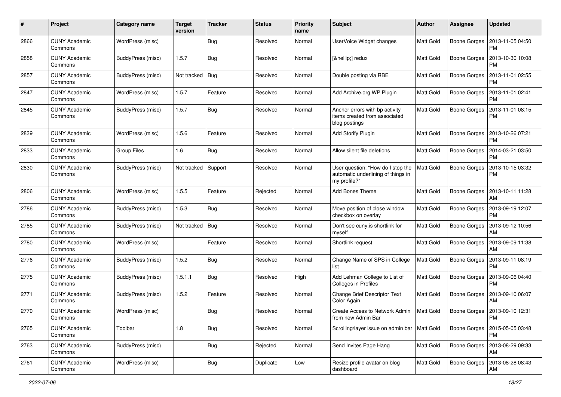| #    | Project                         | <b>Category name</b> | <b>Target</b><br>version | <b>Tracker</b> | <b>Status</b> | <b>Priority</b><br>name | Subject                                                                                 | <b>Author</b>    | Assignee            | <b>Updated</b>                        |
|------|---------------------------------|----------------------|--------------------------|----------------|---------------|-------------------------|-----------------------------------------------------------------------------------------|------------------|---------------------|---------------------------------------|
| 2866 | <b>CUNY Academic</b><br>Commons | WordPress (misc)     |                          | Bug            | Resolved      | Normal                  | UserVoice Widget changes                                                                | Matt Gold        | <b>Boone Gorges</b> | 2013-11-05 04:50<br><b>PM</b>         |
| 2858 | <b>CUNY Academic</b><br>Commons | BuddyPress (misc)    | 1.5.7                    | Bug            | Resolved      | Normal                  | […] redux                                                                               | Matt Gold        | <b>Boone Gorges</b> | 2013-10-30 10:08<br><b>PM</b>         |
| 2857 | <b>CUNY Academic</b><br>Commons | BuddyPress (misc)    | Not tracked              | <b>Bug</b>     | Resolved      | Normal                  | Double posting via RBE                                                                  | <b>Matt Gold</b> | <b>Boone Gorges</b> | 2013-11-01 02:55<br><b>PM</b>         |
| 2847 | <b>CUNY Academic</b><br>Commons | WordPress (misc)     | 1.5.7                    | Feature        | Resolved      | Normal                  | Add Archive.org WP Plugin                                                               | Matt Gold        | <b>Boone Gorges</b> | 2013-11-01 02:41<br><b>PM</b>         |
| 2845 | <b>CUNY Academic</b><br>Commons | BuddyPress (misc)    | 1.5.7                    | <b>Bug</b>     | Resolved      | Normal                  | Anchor errors with bp activity<br>items created from associated<br>blog postings        | <b>Matt Gold</b> | <b>Boone Gorges</b> | 2013-11-01 08:15<br><b>PM</b>         |
| 2839 | <b>CUNY Academic</b><br>Commons | WordPress (misc)     | 1.5.6                    | Feature        | Resolved      | Normal                  | Add Storify Plugin                                                                      | Matt Gold        | Boone Gorges        | 2013-10-26 07:21<br><b>PM</b>         |
| 2833 | <b>CUNY Academic</b><br>Commons | <b>Group Files</b>   | 1.6                      | Bug            | Resolved      | Normal                  | Allow silent file deletions                                                             | <b>Matt Gold</b> | <b>Boone Gorges</b> | 2014-03-21 03:50<br><b>PM</b>         |
| 2830 | <b>CUNY Academic</b><br>Commons | BuddyPress (misc)    | Not tracked              | Support        | Resolved      | Normal                  | User question: "How do I stop the<br>automatic underlining of things in<br>my profile?" | <b>Matt Gold</b> | <b>Boone Gorges</b> | 2013-10-15 03:32<br><b>PM</b>         |
| 2806 | <b>CUNY Academic</b><br>Commons | WordPress (misc)     | 1.5.5                    | Feature        | Rejected      | Normal                  | <b>Add Bones Theme</b>                                                                  | Matt Gold        | Boone Gorges        | 2013-10-11 11:28<br>AM                |
| 2786 | <b>CUNY Academic</b><br>Commons | BuddyPress (misc)    | 1.5.3                    | Bug            | Resolved      | Normal                  | Move position of close window<br>checkbox on overlay                                    | <b>Matt Gold</b> | Boone Gorges        | 2013-09-19 12:07<br><b>PM</b>         |
| 2785 | <b>CUNY Academic</b><br>Commons | BuddyPress (misc)    | Not tracked              | <b>Bug</b>     | Resolved      | Normal                  | Don't see cuny.is shortlink for<br>myself                                               | <b>Matt Gold</b> | Boone Gorges        | 2013-09-12 10:56<br>AM                |
| 2780 | <b>CUNY Academic</b><br>Commons | WordPress (misc)     |                          | Feature        | Resolved      | Normal                  | Shortlink request                                                                       | Matt Gold        | Boone Gorges        | 2013-09-09 11:38<br><b>AM</b>         |
| 2776 | <b>CUNY Academic</b><br>Commons | BuddyPress (misc)    | 1.5.2                    | <b>Bug</b>     | Resolved      | Normal                  | Change Name of SPS in College<br>list                                                   | <b>Matt Gold</b> | <b>Boone Gorges</b> | 2013-09-11 08:19<br><b>PM</b>         |
| 2775 | <b>CUNY Academic</b><br>Commons | BuddyPress (misc)    | 1.5.1.1                  | Bug            | Resolved      | High                    | Add Lehman College to List of<br>Colleges in Profiles                                   | Matt Gold        | Boone Gorges        | 2013-09-06 04:40<br><b>PM</b>         |
| 2771 | <b>CUNY Academic</b><br>Commons | BuddyPress (misc)    | 1.5.2                    | Feature        | Resolved      | Normal                  | Change Brief Descriptor Text<br>Color Again                                             | <b>Matt Gold</b> | <b>Boone Gorges</b> | 2013-09-10 06:07<br><b>AM</b>         |
| 2770 | <b>CUNY Academic</b><br>Commons | WordPress (misc)     |                          | Bug            | Resolved      | Normal                  | Create Access to Network Admin<br>from new Admin Bar                                    | <b>Matt Gold</b> | Boone Gorges        | 2013-09-10 12:31<br>PM                |
| 2765 | <b>CUNY Academic</b><br>Commons | Toolbar              | 1.8                      | Bug            | Resolved      | Normal                  | Scrolling/layer issue on admin bar   Matt Gold                                          |                  | <b>Boone Gorges</b> | 2015-05-05 03:48<br><b>PM</b>         |
| 2763 | <b>CUNY Academic</b><br>Commons | BuddyPress (misc)    |                          | <b>Bug</b>     | Rejected      | Normal                  | Send Invites Page Hang                                                                  | <b>Matt Gold</b> |                     | Boone Gorges   2013-08-29 09:33<br>AM |
| 2761 | <b>CUNY Academic</b><br>Commons | WordPress (misc)     |                          | <b>Bug</b>     | Duplicate     | Low                     | Resize profile avatar on blog<br>dashboard                                              | Matt Gold        | Boone Gorges        | 2013-08-28 08:43<br>AM                |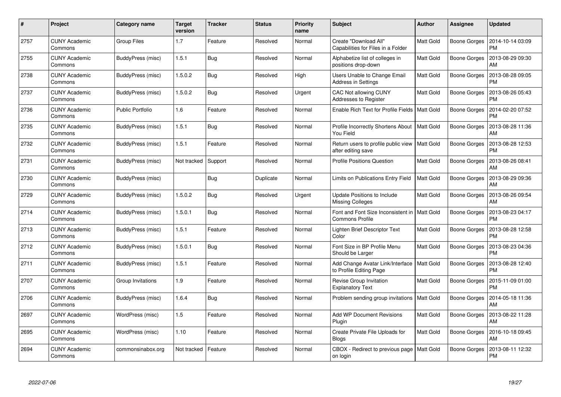| #    | Project                         | Category name           | <b>Target</b><br>version | <b>Tracker</b> | <b>Status</b> | <b>Priority</b><br>name | <b>Subject</b>                                               | Author           | <b>Assignee</b>     | <b>Updated</b>                |
|------|---------------------------------|-------------------------|--------------------------|----------------|---------------|-------------------------|--------------------------------------------------------------|------------------|---------------------|-------------------------------|
| 2757 | <b>CUNY Academic</b><br>Commons | <b>Group Files</b>      | 1.7                      | Feature        | Resolved      | Normal                  | Create "Download All"<br>Capabilities for Files in a Folder  | <b>Matt Gold</b> | Boone Gorges        | 2014-10-14 03:09<br><b>PM</b> |
| 2755 | <b>CUNY Academic</b><br>Commons | BuddyPress (misc)       | 1.5.1                    | Bug            | Resolved      | Normal                  | Alphabetize list of colleges in<br>positions drop-down       | Matt Gold        | Boone Gorges        | 2013-08-29 09:30<br>AM        |
| 2738 | <b>CUNY Academic</b><br>Commons | BuddyPress (misc)       | 1.5.0.2                  | <b>Bug</b>     | Resolved      | High                    | Users Unable to Change Email<br><b>Address in Settings</b>   | Matt Gold        | Boone Gorges        | 2013-08-28 09:05<br><b>PM</b> |
| 2737 | <b>CUNY Academic</b><br>Commons | BuddyPress (misc)       | 1.5.0.2                  | Bug            | Resolved      | Urgent                  | <b>CAC Not allowing CUNY</b><br>Addresses to Register        | Matt Gold        | Boone Gorges        | 2013-08-26 05:43<br><b>PM</b> |
| 2736 | <b>CUNY Academic</b><br>Commons | <b>Public Portfolio</b> | 1.6                      | Feature        | Resolved      | Normal                  | Enable Rich Text for Profile Fields                          | <b>Matt Gold</b> | Boone Gorges        | 2014-02-20 07:52<br><b>PM</b> |
| 2735 | <b>CUNY Academic</b><br>Commons | BuddyPress (misc)       | 1.5.1                    | <b>Bug</b>     | Resolved      | Normal                  | Profile Incorrectly Shortens About<br>You Field              | Matt Gold        | Boone Gorges        | 2013-08-28 11:36<br>AM        |
| 2732 | <b>CUNY Academic</b><br>Commons | BuddyPress (misc)       | 1.5.1                    | Feature        | Resolved      | Normal                  | Return users to profile public view<br>after editing save    | <b>Matt Gold</b> | <b>Boone Gorges</b> | 2013-08-28 12:53<br><b>PM</b> |
| 2731 | <b>CUNY Academic</b><br>Commons | BuddyPress (misc)       | Not tracked              | Support        | Resolved      | Normal                  | <b>Profile Positions Question</b>                            | Matt Gold        | Boone Gorges        | 2013-08-26 08:41<br>AM        |
| 2730 | <b>CUNY Academic</b><br>Commons | BuddyPress (misc)       |                          | <b>Bug</b>     | Duplicate     | Normal                  | Limits on Publications Entry Field                           | <b>Matt Gold</b> | Boone Gorges        | 2013-08-29 09:36<br>AM        |
| 2729 | <b>CUNY Academic</b><br>Commons | BuddyPress (misc)       | 1.5.0.2                  | Bug            | Resolved      | Urgent                  | Update Positions to Include<br><b>Missing Colleges</b>       | <b>Matt Gold</b> | Boone Gorges        | 2013-08-26 09:54<br><b>AM</b> |
| 2714 | <b>CUNY Academic</b><br>Commons | BuddyPress (misc)       | 1.5.0.1                  | <b>Bug</b>     | Resolved      | Normal                  | Font and Font Size Inconsistent in<br><b>Commons Profile</b> | <b>Matt Gold</b> | Boone Gorges        | 2013-08-23 04:17<br><b>PM</b> |
| 2713 | <b>CUNY Academic</b><br>Commons | BuddyPress (misc)       | 1.5.1                    | Feature        | Resolved      | Normal                  | Lighten Brief Descriptor Text<br>Color                       | Matt Gold        | Boone Gorges        | 2013-08-28 12:58<br><b>PM</b> |
| 2712 | <b>CUNY Academic</b><br>Commons | BuddyPress (misc)       | 1.5.0.1                  | Bug            | Resolved      | Normal                  | Font Size in BP Profile Menu<br>Should be Larger             | <b>Matt Gold</b> | Boone Gorges        | 2013-08-23 04:36<br><b>PM</b> |
| 2711 | <b>CUNY Academic</b><br>Commons | BuddyPress (misc)       | 1.5.1                    | Feature        | Resolved      | Normal                  | Add Change Avatar Link/Interface<br>to Profile Editing Page  | <b>Matt Gold</b> | Boone Gorges        | 2013-08-28 12:40<br><b>PM</b> |
| 2707 | <b>CUNY Academic</b><br>Commons | Group Invitations       | 1.9                      | Feature        | Resolved      | Normal                  | Revise Group Invitation<br><b>Explanatory Text</b>           | <b>Matt Gold</b> | Boone Gorges        | 2015-11-09 01:00<br><b>PM</b> |
| 2706 | <b>CUNY Academic</b><br>Commons | BuddyPress (misc)       | 1.6.4                    | <b>Bug</b>     | Resolved      | Normal                  | Problem sending group invitations   Matt Gold                |                  | Boone Gorges        | 2014-05-18 11:36<br>AM        |
| 2697 | <b>CUNY Academic</b><br>Commons | WordPress (misc)        | 1.5                      | Feature        | Resolved      | Normal                  | <b>Add WP Document Revisions</b><br>Plugin                   | <b>Matt Gold</b> | Boone Gorges        | 2013-08-22 11:28<br>AM        |
| 2695 | <b>CUNY Academic</b><br>Commons | WordPress (misc)        | 1.10                     | Feature        | Resolved      | Normal                  | Create Private File Uploads for<br><b>Blogs</b>              | Matt Gold        | Boone Gorges        | 2016-10-18 09:45<br>AM        |
| 2694 | <b>CUNY Academic</b><br>Commons | commonsinabox.org       | Not tracked              | Feature        | Resolved      | Normal                  | CBOX - Redirect to previous page<br>on login                 | <b>Matt Gold</b> | Boone Gorges        | 2013-08-11 12:32<br><b>PM</b> |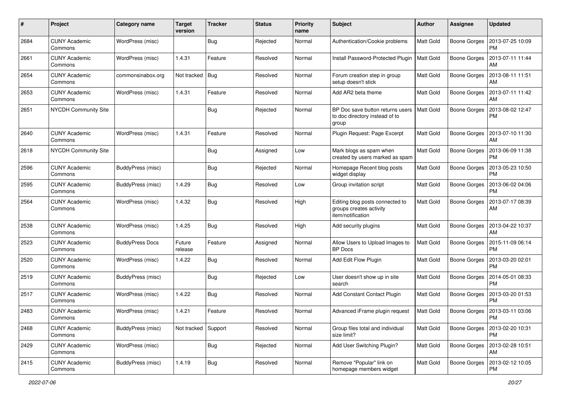| #    | Project                         | <b>Category name</b>   | <b>Target</b><br>version | <b>Tracker</b> | <b>Status</b> | <b>Priority</b><br>name | <b>Subject</b>                                                                  | <b>Author</b>    | <b>Assignee</b>     | <b>Updated</b>                |
|------|---------------------------------|------------------------|--------------------------|----------------|---------------|-------------------------|---------------------------------------------------------------------------------|------------------|---------------------|-------------------------------|
| 2684 | <b>CUNY Academic</b><br>Commons | WordPress (misc)       |                          | Bug            | Rejected      | Normal                  | Authentication/Cookie problems                                                  | <b>Matt Gold</b> | <b>Boone Gorges</b> | 2013-07-25 10:09<br><b>PM</b> |
| 2661 | <b>CUNY Academic</b><br>Commons | WordPress (misc)       | 1.4.31                   | Feature        | Resolved      | Normal                  | Install Password-Protected Plugin                                               | <b>Matt Gold</b> | <b>Boone Gorges</b> | 2013-07-11 11:44<br>AM        |
| 2654 | <b>CUNY Academic</b><br>Commons | commonsinabox.org      | Not tracked              | <b>Bug</b>     | Resolved      | Normal                  | Forum creation step in group<br>setup doesn't stick                             | <b>Matt Gold</b> | Boone Gorges        | 2013-08-11 11:51<br>AM        |
| 2653 | <b>CUNY Academic</b><br>Commons | WordPress (misc)       | 1.4.31                   | Feature        | Resolved      | Normal                  | Add AR2 beta theme                                                              | <b>Matt Gold</b> | <b>Boone Gorges</b> | 2013-07-11 11:42<br>AM        |
| 2651 | <b>NYCDH Community Site</b>     |                        |                          | <b>Bug</b>     | Rejected      | Normal                  | BP Doc save button returns users<br>to doc directory instead of to<br>group     | <b>Matt Gold</b> | <b>Boone Gorges</b> | 2013-08-02 12:47<br><b>PM</b> |
| 2640 | <b>CUNY Academic</b><br>Commons | WordPress (misc)       | 1.4.31                   | Feature        | Resolved      | Normal                  | Plugin Request: Page Excerpt                                                    | <b>Matt Gold</b> | Boone Gorges        | 2013-07-10 11:30<br>AM        |
| 2618 | <b>NYCDH Community Site</b>     |                        |                          | <b>Bug</b>     | Assigned      | Low                     | Mark blogs as spam when<br>created by users marked as spam                      | <b>Matt Gold</b> | <b>Boone Gorges</b> | 2013-06-09 11:38<br><b>PM</b> |
| 2596 | <b>CUNY Academic</b><br>Commons | BuddyPress (misc)      |                          | Bug            | Rejected      | Normal                  | Homepage Recent blog posts<br>widget display                                    | <b>Matt Gold</b> | Boone Gorges        | 2013-05-23 10:50<br><b>PM</b> |
| 2595 | <b>CUNY Academic</b><br>Commons | BuddyPress (misc)      | 1.4.29                   | Bug            | Resolved      | Low                     | Group invitation script                                                         | Matt Gold        | Boone Gorges        | 2013-06-02 04:06<br><b>PM</b> |
| 2564 | <b>CUNY Academic</b><br>Commons | WordPress (misc)       | 1.4.32                   | <b>Bug</b>     | Resolved      | High                    | Editing blog posts connected to<br>groups creates activity<br>item/notification | <b>Matt Gold</b> | <b>Boone Gorges</b> | 2013-07-17 08:39<br>AM        |
| 2538 | <b>CUNY Academic</b><br>Commons | WordPress (misc)       | 1.4.25                   | <b>Bug</b>     | Resolved      | High                    | Add security plugins                                                            | <b>Matt Gold</b> | Boone Gorges        | 2013-04-22 10:37<br><b>AM</b> |
| 2523 | <b>CUNY Academic</b><br>Commons | <b>BuddyPress Docs</b> | Future<br>release        | Feature        | Assigned      | Normal                  | Allow Users to Upload Images to<br><b>BP</b> Docs                               | Matt Gold        | Boone Gorges        | 2015-11-09 06:14<br><b>PM</b> |
| 2520 | <b>CUNY Academic</b><br>Commons | WordPress (misc)       | 1.4.22                   | Bug            | Resolved      | Normal                  | Add Edit Flow Plugin                                                            | <b>Matt Gold</b> | <b>Boone Gorges</b> | 2013-03-20 02:01<br><b>PM</b> |
| 2519 | <b>CUNY Academic</b><br>Commons | BuddyPress (misc)      |                          | <b>Bug</b>     | Rejected      | Low                     | User doesn't show up in site<br>search                                          | Matt Gold        | Boone Gorges        | 2014-05-01 08:33<br><b>PM</b> |
| 2517 | <b>CUNY Academic</b><br>Commons | WordPress (misc)       | 1.4.22                   | Bug            | Resolved      | Normal                  | Add Constant Contact Plugin                                                     | <b>Matt Gold</b> | <b>Boone Gorges</b> | 2013-03-20 01:53<br><b>PM</b> |
| 2483 | <b>CUNY Academic</b><br>Commons | WordPress (misc)       | 1.4.21                   | Feature        | Resolved      | Normal                  | Advanced iFrame plugin request                                                  | <b>Matt Gold</b> | Boone Gorges        | 2013-03-11 03:06<br>PM        |
| 2468 | <b>CUNY Academic</b><br>Commons | BuddyPress (misc)      | Not tracked              | Support        | Resolved      | Normal                  | Group files total and individual<br>size limit?                                 | Matt Gold        | <b>Boone Gorges</b> | 2013-02-20 10:31<br><b>PM</b> |
| 2429 | <b>CUNY Academic</b><br>Commons | WordPress (misc)       |                          | <b>Bug</b>     | Rejected      | Normal                  | Add User Switching Plugin?                                                      | <b>Matt Gold</b> | <b>Boone Gorges</b> | 2013-02-28 10:51<br>AM        |
| 2415 | <b>CUNY Academic</b><br>Commons | BuddyPress (misc)      | 1.4.19                   | <b>Bug</b>     | Resolved      | Normal                  | Remove "Popular" link on<br>homepage members widget                             | Matt Gold        | <b>Boone Gorges</b> | 2013-02-12 10:05<br>PM        |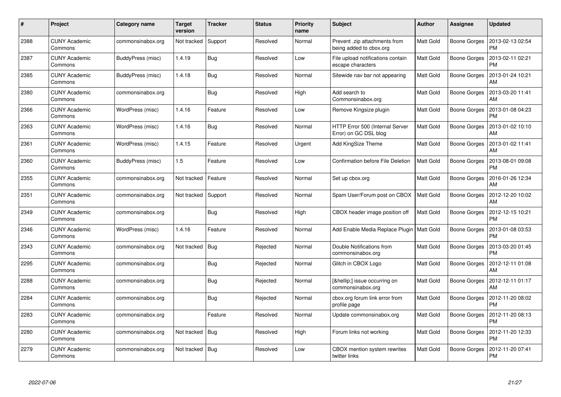| #    | <b>Project</b>                  | Category name     | <b>Target</b><br>version | <b>Tracker</b> | <b>Status</b> | <b>Priority</b><br>name | <b>Subject</b>                                           | Author           | Assignee            | <b>Updated</b>                |
|------|---------------------------------|-------------------|--------------------------|----------------|---------------|-------------------------|----------------------------------------------------------|------------------|---------------------|-------------------------------|
| 2388 | <b>CUNY Academic</b><br>Commons | commonsinabox.org | Not tracked              | Support        | Resolved      | Normal                  | Prevent .zip attachments from<br>being added to cbox.org | Matt Gold        | Boone Gorges        | 2013-02-13 02:54<br><b>PM</b> |
| 2387 | <b>CUNY Academic</b><br>Commons | BuddyPress (misc) | 1.4.19                   | <b>Bug</b>     | Resolved      | Low                     | File upload notifications contain<br>escape characters   | Matt Gold        | Boone Gorges        | 2013-02-11 02:21<br><b>PM</b> |
| 2385 | <b>CUNY Academic</b><br>Commons | BuddyPress (misc) | 1.4.18                   | <b>Bug</b>     | Resolved      | Normal                  | Sitewide nav bar not appearing                           | Matt Gold        | Boone Gorges        | 2013-01-24 10:21<br><b>AM</b> |
| 2380 | <b>CUNY Academic</b><br>Commons | commonsinabox.org |                          | <b>Bug</b>     | Resolved      | High                    | Add search to<br>Commonsinabox.org                       | Matt Gold        | Boone Gorges        | 2013-03-20 11:41<br>AM        |
| 2366 | <b>CUNY Academic</b><br>Commons | WordPress (misc)  | 1.4.16                   | Feature        | Resolved      | Low                     | Remove Kingsize plugin                                   | <b>Matt Gold</b> | Boone Gorges        | 2013-01-08 04:23<br><b>PM</b> |
| 2363 | <b>CUNY Academic</b><br>Commons | WordPress (misc)  | 1.4.16                   | Bug            | Resolved      | Normal                  | HTTP Error 500 (Internal Server<br>Error) on GC DSL blog | Matt Gold        | Boone Gorges        | 2013-01-02 10:10<br>AM        |
| 2361 | <b>CUNY Academic</b><br>Commons | WordPress (misc)  | 1.4.15                   | Feature        | Resolved      | Urgent                  | Add KingSize Theme                                       | Matt Gold        | <b>Boone Gorges</b> | 2013-01-02 11:41<br>AM        |
| 2360 | <b>CUNY Academic</b><br>Commons | BuddyPress (misc) | 1.5                      | Feature        | Resolved      | Low                     | <b>Confirmation before File Deletion</b>                 | Matt Gold        | Boone Gorges        | 2013-08-01 09:08<br><b>PM</b> |
| 2355 | <b>CUNY Academic</b><br>Commons | commonsinabox.org | Not tracked              | Feature        | Resolved      | Normal                  | Set up cbox.org                                          | <b>Matt Gold</b> | Boone Gorges        | 2016-01-26 12:34<br>AM        |
| 2351 | <b>CUNY Academic</b><br>Commons | commonsinabox.org | Not tracked              | Support        | Resolved      | Normal                  | Spam User/Forum post on CBOX                             | <b>Matt Gold</b> | Boone Gorges        | 2012-12-20 10:02<br>AM        |
| 2349 | <b>CUNY Academic</b><br>Commons | commonsinabox.org |                          | <b>Bug</b>     | Resolved      | High                    | CBOX header image position off                           | Matt Gold        | Boone Gorges        | 2012-12-15 10:21<br><b>PM</b> |
| 2346 | <b>CUNY Academic</b><br>Commons | WordPress (misc)  | 1.4.16                   | Feature        | Resolved      | Normal                  | Add Enable Media Replace Plugin   Matt Gold              |                  | Boone Gorges        | 2013-01-08 03:53<br><b>PM</b> |
| 2343 | <b>CUNY Academic</b><br>Commons | commonsinabox.org | Not tracked              | <b>Bug</b>     | Rejected      | Normal                  | Double Notifications from<br>commonsinabox.org           | Matt Gold        | Boone Gorges        | 2013-03-20 01:45<br><b>PM</b> |
| 2295 | <b>CUNY Academic</b><br>Commons | commonsinabox.org |                          | Bug            | Rejected      | Normal                  | Glitch in CBOX Logo                                      | <b>Matt Gold</b> | Boone Gorges        | 2012-12-11 01:08<br><b>AM</b> |
| 2288 | <b>CUNY Academic</b><br>Commons | commonsinabox.org |                          | Bug            | Rejected      | Normal                  | […] issue occurring on<br>commonsinabox.org              | Matt Gold        | Boone Gorges        | 2012-12-11 01:17<br>AM        |
| 2284 | <b>CUNY Academic</b><br>Commons | commonsinabox.org |                          | <b>Bug</b>     | Rejected      | Normal                  | cbox.org forum link error from<br>profile page           | Matt Gold        | Boone Gorges        | 2012-11-20 08:02<br><b>PM</b> |
| 2283 | <b>CUNY Academic</b><br>Commons | commonsinabox.org |                          | Feature        | Resolved      | Normal                  | Update commonsinabox.org                                 | <b>Matt Gold</b> | Boone Gorges        | 2012-11-20 08:13<br><b>PM</b> |
| 2280 | <b>CUNY Academic</b><br>Commons | commonsinabox.org | Not tracked              | Bug            | Resolved      | High                    | Forum links not working                                  | <b>Matt Gold</b> | Boone Gorges        | 2012-11-20 12:33<br><b>PM</b> |
| 2279 | <b>CUNY Academic</b><br>Commons | commonsinabox.org | Not tracked              | Bug            | Resolved      | Low                     | CBOX mention system rewrites<br>twitter links            | Matt Gold        | Boone Gorges        | 2012-11-20 07:41<br><b>PM</b> |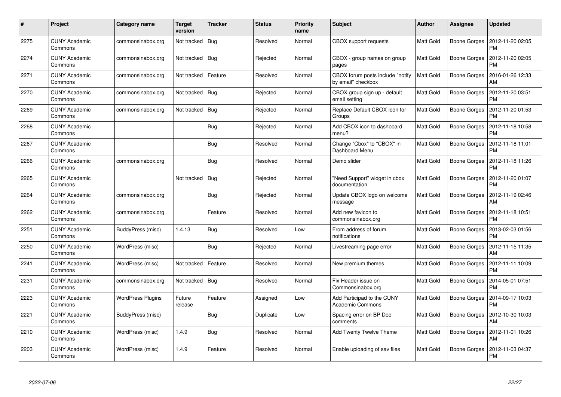| #    | <b>Project</b>                  | Category name            | <b>Target</b><br>version | <b>Tracker</b> | <b>Status</b> | <b>Priority</b><br>name | <b>Subject</b>                                         | Author           | Assignee     | <b>Updated</b>                |
|------|---------------------------------|--------------------------|--------------------------|----------------|---------------|-------------------------|--------------------------------------------------------|------------------|--------------|-------------------------------|
| 2275 | <b>CUNY Academic</b><br>Commons | commonsinabox.org        | Not tracked              | <b>Bug</b>     | Resolved      | Normal                  | <b>CBOX</b> support requests                           | Matt Gold        | Boone Gorges | 2012-11-20 02:05<br><b>PM</b> |
| 2274 | <b>CUNY Academic</b><br>Commons | commonsinabox.org        | Not tracked              | Bug            | Rejected      | Normal                  | CBOX - group names on group<br>pages                   | Matt Gold        | Boone Gorges | 2012-11-20 02:05<br><b>PM</b> |
| 2271 | <b>CUNY Academic</b><br>Commons | commonsinabox.org        | Not tracked              | Feature        | Resolved      | Normal                  | CBOX forum posts include "notify<br>by email" checkbox | <b>Matt Gold</b> | Boone Gorges | 2016-01-26 12:33<br><b>AM</b> |
| 2270 | <b>CUNY Academic</b><br>Commons | commonsinabox.org        | Not tracked              | Bug            | Rejected      | Normal                  | CBOX group sign up - default<br>email setting          | Matt Gold        | Boone Gorges | 2012-11-20 03:51<br><b>PM</b> |
| 2269 | <b>CUNY Academic</b><br>Commons | commonsinabox.org        | Not tracked              | Bug            | Rejected      | Normal                  | Replace Default CBOX Icon for<br>Groups                | Matt Gold        | Boone Gorges | 2012-11-20 01:53<br><b>PM</b> |
| 2268 | <b>CUNY Academic</b><br>Commons |                          |                          | Bug            | Rejected      | Normal                  | Add CBOX icon to dashboard<br>menu?                    | Matt Gold        | Boone Gorges | 2012-11-18 10:58<br><b>PM</b> |
| 2267 | <b>CUNY Academic</b><br>Commons |                          |                          | Bug            | Resolved      | Normal                  | Change "Cbox" to "CBOX" in<br>Dashboard Menu           | <b>Matt Gold</b> | Boone Gorges | 2012-11-18 11:01<br><b>PM</b> |
| 2266 | <b>CUNY Academic</b><br>Commons | commonsinabox.org        |                          | Bug            | Resolved      | Normal                  | Demo slider                                            | Matt Gold        | Boone Gorges | 2012-11-18 11:26<br><b>PM</b> |
| 2265 | <b>CUNY Academic</b><br>Commons |                          | Not tracked              | Bug            | Rejected      | Normal                  | "Need Support" widget in cbox<br>documentation         | Matt Gold        | Boone Gorges | 2012-11-20 01:07<br><b>PM</b> |
| 2264 | <b>CUNY Academic</b><br>Commons | commonsinabox.org        |                          | Bug            | Rejected      | Normal                  | Update CBOX logo on welcome<br>message                 | <b>Matt Gold</b> | Boone Gorges | 2012-11-19 02:46<br><b>AM</b> |
| 2262 | <b>CUNY Academic</b><br>Commons | commonsinabox.org        |                          | Feature        | Resolved      | Normal                  | Add new favicon to<br>commonsinabox.org                | Matt Gold        | Boone Gorges | 2012-11-18 10:51<br><b>PM</b> |
| 2251 | <b>CUNY Academic</b><br>Commons | BuddyPress (misc)        | 1.4.13                   | <b>Bug</b>     | Resolved      | Low                     | From address of forum<br>notifications                 | Matt Gold        | Boone Gorges | 2013-02-03 01:56<br><b>PM</b> |
| 2250 | <b>CUNY Academic</b><br>Commons | WordPress (misc)         |                          | Bug            | Rejected      | Normal                  | Livestreaming page error                               | <b>Matt Gold</b> | Boone Gorges | 2012-11-15 11:35<br>AM        |
| 2241 | <b>CUNY Academic</b><br>Commons | WordPress (misc)         | Not tracked              | Feature        | Resolved      | Normal                  | New premium themes                                     | Matt Gold        | Boone Gorges | 2012-11-11 10:09<br><b>PM</b> |
| 2231 | <b>CUNY Academic</b><br>Commons | commonsinabox.org        | Not tracked              | Bug            | Resolved      | Normal                  | Fix Header issue on<br>Commonsinabox.org               | Matt Gold        | Boone Gorges | 2014-05-01 07:51<br><b>PM</b> |
| 2223 | <b>CUNY Academic</b><br>Commons | <b>WordPress Plugins</b> | Future<br>release        | Feature        | Assigned      | Low                     | Add Participad to the CUNY<br><b>Academic Commons</b>  | <b>Matt Gold</b> | Boone Gorges | 2014-09-17 10:03<br><b>PM</b> |
| 2221 | <b>CUNY Academic</b><br>Commons | BuddyPress (misc)        |                          | <b>Bug</b>     | Duplicate     | Low                     | Spacing error on BP Doc<br>comments                    | <b>Matt Gold</b> | Boone Gorges | 2012-10-30 10:03<br>AM        |
| 2210 | <b>CUNY Academic</b><br>Commons | WordPress (misc)         | 1.4.9                    | <b>Bug</b>     | Resolved      | Normal                  | Add Twenty Twelve Theme                                | Matt Gold        | Boone Gorges | 2012-11-01 10:26<br><b>AM</b> |
| 2203 | <b>CUNY Academic</b><br>Commons | WordPress (misc)         | 1.4.9                    | Feature        | Resolved      | Normal                  | Enable uploading of sav files                          | Matt Gold        | Boone Gorges | 2012-11-03 04:37<br>PM        |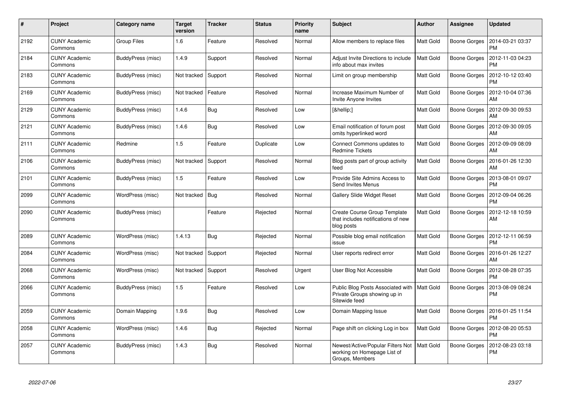| #    | Project                         | Category name      | <b>Target</b><br>version | <b>Tracker</b> | <b>Status</b> | <b>Priority</b><br>name | <b>Subject</b>                                                                      | Author           | Assignee            | <b>Updated</b>                |
|------|---------------------------------|--------------------|--------------------------|----------------|---------------|-------------------------|-------------------------------------------------------------------------------------|------------------|---------------------|-------------------------------|
| 2192 | <b>CUNY Academic</b><br>Commons | <b>Group Files</b> | 1.6                      | Feature        | Resolved      | Normal                  | Allow members to replace files                                                      | Matt Gold        | Boone Gorges        | 2014-03-21 03:37<br><b>PM</b> |
| 2184 | <b>CUNY Academic</b><br>Commons | BuddyPress (misc)  | 1.4.9                    | Support        | Resolved      | Normal                  | Adjust Invite Directions to include<br>info about max invites                       | Matt Gold        | <b>Boone Gorges</b> | 2012-11-03 04:23<br><b>PM</b> |
| 2183 | <b>CUNY Academic</b><br>Commons | BuddyPress (misc)  | Not tracked              | Support        | Resolved      | Normal                  | Limit on group membership                                                           | <b>Matt Gold</b> | Boone Gorges        | 2012-10-12 03:40<br><b>PM</b> |
| 2169 | <b>CUNY Academic</b><br>Commons | BuddyPress (misc)  | Not tracked              | Feature        | Resolved      | Normal                  | Increase Maximum Number of<br>Invite Anyone Invites                                 | Matt Gold        | Boone Gorges        | 2012-10-04 07:36<br>AM        |
| 2129 | <b>CUNY Academic</b><br>Commons | BuddyPress (misc)  | 1.4.6                    | Bug            | Resolved      | Low                     | […]                                                                                 | <b>Matt Gold</b> | Boone Gorges        | 2012-09-30 09:53<br>AM        |
| 2121 | <b>CUNY Academic</b><br>Commons | BuddyPress (misc)  | 1.4.6                    | Bug            | Resolved      | Low                     | Email notification of forum post<br>omits hyperlinked word                          | Matt Gold        | <b>Boone Gorges</b> | 2012-09-30 09:05<br>AM        |
| 2111 | <b>CUNY Academic</b><br>Commons | Redmine            | 1.5                      | Feature        | Duplicate     | Low                     | Connect Commons updates to<br><b>Redmine Tickets</b>                                | Matt Gold        | Boone Gorges        | 2012-09-09 08:09<br>AM        |
| 2106 | <b>CUNY Academic</b><br>Commons | BuddyPress (misc)  | Not tracked              | Support        | Resolved      | Normal                  | Blog posts part of group activity<br>feed                                           | Matt Gold        | Boone Gorges        | 2016-01-26 12:30<br>AM        |
| 2101 | <b>CUNY Academic</b><br>Commons | BuddyPress (misc)  | 1.5                      | Feature        | Resolved      | Low                     | Provide Site Admins Access to<br>Send Invites Menus                                 | Matt Gold        | Boone Gorges        | 2013-08-01 09:07<br><b>PM</b> |
| 2099 | <b>CUNY Academic</b><br>Commons | WordPress (misc)   | Not tracked              | Bug            | Resolved      | Normal                  | Gallery Slide Widget Reset                                                          | Matt Gold        | Boone Gorges        | 2012-09-04 06:26<br><b>PM</b> |
| 2090 | <b>CUNY Academic</b><br>Commons | BuddyPress (misc)  |                          | Feature        | Rejected      | Normal                  | Create Course Group Template<br>that includes notifications of new<br>blog posts    | Matt Gold        | Boone Gorges        | 2012-12-18 10:59<br>AM        |
| 2089 | <b>CUNY Academic</b><br>Commons | WordPress (misc)   | 1.4.13                   | Bug            | Rejected      | Normal                  | Possible blog email notification<br>issue                                           | Matt Gold        | Boone Gorges        | 2012-12-11 06:59<br><b>PM</b> |
| 2084 | <b>CUNY Academic</b><br>Commons | WordPress (misc)   | Not tracked              | Support        | Rejected      | Normal                  | User reports redirect error                                                         | Matt Gold        | Boone Gorges        | 2016-01-26 12:27<br><b>AM</b> |
| 2068 | <b>CUNY Academic</b><br>Commons | WordPress (misc)   | Not tracked              | Support        | Resolved      | Urgent                  | User Blog Not Accessible                                                            | <b>Matt Gold</b> | Boone Gorges        | 2012-08-28 07:35<br><b>PM</b> |
| 2066 | <b>CUNY Academic</b><br>Commons | BuddyPress (misc)  | 1.5                      | Feature        | Resolved      | Low                     | Public Blog Posts Associated with<br>Private Groups showing up in<br>Sitewide feed  | <b>Matt Gold</b> | <b>Boone Gorges</b> | 2013-08-09 08:24<br><b>PM</b> |
| 2059 | <b>CUNY Academic</b><br>Commons | Domain Mapping     | 1.9.6                    | <b>Bug</b>     | Resolved      | Low                     | Domain Mapping Issue                                                                | <b>Matt Gold</b> | Boone Gorges        | 2016-01-25 11:54<br><b>PM</b> |
| 2058 | <b>CUNY Academic</b><br>Commons | WordPress (misc)   | 1.4.6                    | <b>Bug</b>     | Rejected      | Normal                  | Page shift on clicking Log in box                                                   | <b>Matt Gold</b> | Boone Gorges        | 2012-08-20 05:53<br><b>PM</b> |
| 2057 | <b>CUNY Academic</b><br>Commons | BuddyPress (misc)  | 1.4.3                    | Bug            | Resolved      | Normal                  | Newest/Active/Popular Filters Not<br>working on Homepage List of<br>Groups, Members | <b>Matt Gold</b> | <b>Boone Gorges</b> | 2012-08-23 03:18<br><b>PM</b> |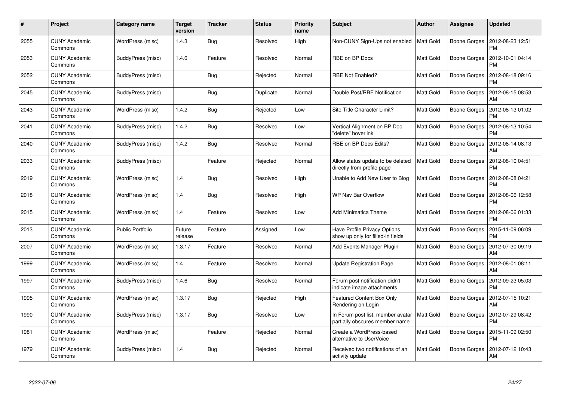| #    | <b>Project</b>                  | Category name           | <b>Target</b><br>version | <b>Tracker</b> | <b>Status</b> | <b>Priority</b><br>name | <b>Subject</b>                                                      | <b>Author</b>    | <b>Assignee</b>     | <b>Updated</b>                |
|------|---------------------------------|-------------------------|--------------------------|----------------|---------------|-------------------------|---------------------------------------------------------------------|------------------|---------------------|-------------------------------|
| 2055 | <b>CUNY Academic</b><br>Commons | WordPress (misc)        | 1.4.3                    | Bug            | Resolved      | High                    | Non-CUNY Sign-Ups not enabled                                       | <b>Matt Gold</b> | <b>Boone Gorges</b> | 2012-08-23 12:51<br><b>PM</b> |
| 2053 | <b>CUNY Academic</b><br>Commons | BuddyPress (misc)       | 1.4.6                    | Feature        | Resolved      | Normal                  | RBE on BP Docs                                                      | Matt Gold        | <b>Boone Gorges</b> | 2012-10-01 04:14<br><b>PM</b> |
| 2052 | <b>CUNY Academic</b><br>Commons | BuddyPress (misc)       |                          | <b>Bug</b>     | Rejected      | Normal                  | <b>RBE Not Enabled?</b>                                             | Matt Gold        | <b>Boone Gorges</b> | 2012-08-18 09:16<br><b>PM</b> |
| 2045 | <b>CUNY Academic</b><br>Commons | BuddyPress (misc)       |                          | Bug            | Duplicate     | Normal                  | Double Post/RBE Notification                                        | Matt Gold        | <b>Boone Gorges</b> | 2012-08-15 08:53<br>AM        |
| 2043 | <b>CUNY Academic</b><br>Commons | WordPress (misc)        | 1.4.2                    | <b>Bug</b>     | Rejected      | Low                     | Site Title Character Limit?                                         | <b>Matt Gold</b> | <b>Boone Gorges</b> | 2012-08-13 01:02<br><b>PM</b> |
| 2041 | <b>CUNY Academic</b><br>Commons | BuddyPress (misc)       | 1.4.2                    | <b>Bug</b>     | Resolved      | Low                     | Vertical Alignment on BP Doc<br>"delete" hoverlink                  | Matt Gold        | Boone Gorges        | 2012-08-13 10:54<br><b>PM</b> |
| 2040 | <b>CUNY Academic</b><br>Commons | BuddyPress (misc)       | 1.4.2                    | <b>Bug</b>     | Resolved      | Normal                  | RBE on BP Docs Edits?                                               | Matt Gold        | <b>Boone Gorges</b> | 2012-08-14 08:13<br>AM        |
| 2033 | <b>CUNY Academic</b><br>Commons | BuddyPress (misc)       |                          | Feature        | Rejected      | Normal                  | Allow status update to be deleted<br>directly from profile page     | Matt Gold        | Boone Gorges        | 2012-08-10 04:51<br><b>PM</b> |
| 2019 | <b>CUNY Academic</b><br>Commons | WordPress (misc)        | 1.4                      | <b>Bug</b>     | Resolved      | High                    | Unable to Add New User to Blog                                      | Matt Gold        | <b>Boone Gorges</b> | 2012-08-08 04:21<br><b>PM</b> |
| 2018 | <b>CUNY Academic</b><br>Commons | WordPress (misc)        | 1.4                      | Bug            | Resolved      | High                    | <b>WP Nav Bar Overflow</b>                                          | Matt Gold        | <b>Boone Gorges</b> | 2012-08-06 12:58<br><b>PM</b> |
| 2015 | <b>CUNY Academic</b><br>Commons | WordPress (misc)        | 1.4                      | Feature        | Resolved      | Low                     | <b>Add Minimatica Theme</b>                                         | Matt Gold        | <b>Boone Gorges</b> | 2012-08-06 01:33<br><b>PM</b> |
| 2013 | <b>CUNY Academic</b><br>Commons | <b>Public Portfolio</b> | Future<br>release        | Feature        | Assigned      | Low                     | Have Profile Privacy Options<br>show up only for filled-in fields   | Matt Gold        | <b>Boone Gorges</b> | 2015-11-09 06:09<br><b>PM</b> |
| 2007 | <b>CUNY Academic</b><br>Commons | WordPress (misc)        | 1.3.17                   | Feature        | Resolved      | Normal                  | Add Events Manager Plugin                                           | Matt Gold        | <b>Boone Gorges</b> | 2012-07-30 09:19<br>AM        |
| 1999 | <b>CUNY Academic</b><br>Commons | WordPress (misc)        | 1.4                      | Feature        | Resolved      | Normal                  | <b>Update Registration Page</b>                                     | Matt Gold        | <b>Boone Gorges</b> | 2012-08-01 08:11<br>AM        |
| 1997 | <b>CUNY Academic</b><br>Commons | BuddyPress (misc)       | 1.4.6                    | Bug            | Resolved      | Normal                  | Forum post notification didn't<br>indicate image attachments        | Matt Gold        | <b>Boone Gorges</b> | 2012-09-23 05:03<br><b>PM</b> |
| 1995 | <b>CUNY Academic</b><br>Commons | WordPress (misc)        | 1.3.17                   | Bug            | Rejected      | High                    | <b>Featured Content Box Only</b><br>Rendering on Login              | <b>Matt Gold</b> | <b>Boone Gorges</b> | 2012-07-15 10:21<br>AM        |
| 1990 | <b>CUNY Academic</b><br>Commons | BuddyPress (misc)       | 1.3.17                   | <b>Bug</b>     | Resolved      | Low                     | In Forum post list, member avatar<br>partially obscures member name | Matt Gold        | <b>Boone Gorges</b> | 2012-07-29 08:42<br><b>PM</b> |
| 1981 | <b>CUNY Academic</b><br>Commons | WordPress (misc)        |                          | Feature        | Rejected      | Normal                  | Create a WordPress-based<br>alternative to UserVoice                | Matt Gold        | <b>Boone Gorges</b> | 2015-11-09 02:50<br><b>PM</b> |
| 1979 | <b>CUNY Academic</b><br>Commons | BuddyPress (misc)       | 1.4                      | <b>Bug</b>     | Rejected      | Normal                  | Received two notifications of an<br>activity update                 | Matt Gold        | <b>Boone Gorges</b> | 2012-07-12 10:43<br>AM        |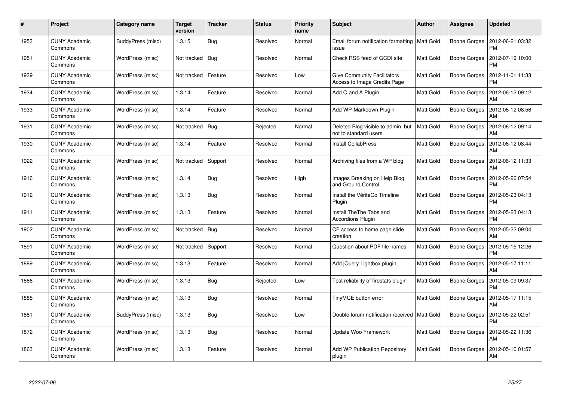| #    | <b>Project</b>                  | Category name     | <b>Target</b><br>version | <b>Tracker</b> | <b>Status</b> | <b>Priority</b><br>name | <b>Subject</b>                                                     | <b>Author</b>    | Assignee            | <b>Updated</b>                |
|------|---------------------------------|-------------------|--------------------------|----------------|---------------|-------------------------|--------------------------------------------------------------------|------------------|---------------------|-------------------------------|
| 1953 | <b>CUNY Academic</b><br>Commons | BuddyPress (misc) | 1.3.15                   | <b>Bug</b>     | Resolved      | Normal                  | Email forum notification formatting<br>issue                       | <b>Matt Gold</b> | Boone Gorges        | 2012-06-21 03:32<br><b>PM</b> |
| 1951 | <b>CUNY Academic</b><br>Commons | WordPress (misc)  | Not tracked              | Bug            | Resolved      | Normal                  | Check RSS feed of GCDI site                                        | Matt Gold        | Boone Gorges        | 2012-07-19 10:00<br><b>PM</b> |
| 1939 | <b>CUNY Academic</b><br>Commons | WordPress (misc)  | Not tracked              | Feature        | Resolved      | Low                     | <b>Give Community Facilitators</b><br>Access to Image Credits Page | <b>Matt Gold</b> | Boone Gorges        | 2012-11-01 11:33<br><b>PM</b> |
| 1934 | <b>CUNY Academic</b><br>Commons | WordPress (misc)  | 1.3.14                   | Feature        | Resolved      | Normal                  | Add Q and A Plugin                                                 | Matt Gold        | Boone Gorges        | 2012-06-12 09:12<br>AM        |
| 1933 | <b>CUNY Academic</b><br>Commons | WordPress (misc)  | 1.3.14                   | Feature        | Resolved      | Normal                  | Add WP-Markdown Plugin                                             | <b>Matt Gold</b> | Boone Gorges        | 2012-06-12 08:56<br>AM        |
| 1931 | <b>CUNY Academic</b><br>Commons | WordPress (misc)  | Not tracked              | Bug            | Rejected      | Normal                  | Deleted Blog visible to admin, but<br>not to standard users        | <b>Matt Gold</b> | Boone Gorges        | 2012-06-12 09:14<br>AM        |
| 1930 | <b>CUNY Academic</b><br>Commons | WordPress (misc)  | 1.3.14                   | Feature        | Resolved      | Normal                  | <b>Install CollabPress</b>                                         | Matt Gold        | Boone Gorges        | 2012-06-12 08:44<br>AM        |
| 1922 | <b>CUNY Academic</b><br>Commons | WordPress (misc)  | Not tracked              | Support        | Resolved      | Normal                  | Archiving files from a WP blog                                     | Matt Gold        | Boone Gorges        | 2012-06-12 11:33<br><b>AM</b> |
| 1916 | <b>CUNY Academic</b><br>Commons | WordPress (misc)  | 1.3.14                   | Bug            | Resolved      | High                    | Images Breaking on Help Blog<br>and Ground Control                 | <b>Matt Gold</b> | Boone Gorges        | 2012-05-26 07:54<br><b>PM</b> |
| 1912 | <b>CUNY Academic</b><br>Commons | WordPress (misc)  | 1.3.13                   | <b>Bug</b>     | Resolved      | Normal                  | Install the VéritéCo Timeline<br>Plugin                            | Matt Gold        | <b>Boone Gorges</b> | 2012-05-23 04:13<br><b>PM</b> |
| 1911 | <b>CUNY Academic</b><br>Commons | WordPress (misc)  | 1.3.13                   | Feature        | Resolved      | Normal                  | Install TheThe Tabs and<br><b>Accordions Plugin</b>                | Matt Gold        | Boone Gorges        | 2012-05-23 04:13<br><b>PM</b> |
| 1902 | <b>CUNY Academic</b><br>Commons | WordPress (misc)  | Not tracked   Bug        |                | Resolved      | Normal                  | CF access to home page slide<br>creation                           | <b>Matt Gold</b> | Boone Gorges        | 2012-05-22 09:04<br><b>AM</b> |
| 1891 | <b>CUNY Academic</b><br>Commons | WordPress (misc)  | Not tracked              | Support        | Resolved      | Normal                  | Question about PDF file names                                      | <b>Matt Gold</b> | Boone Gorges        | 2012-05-15 12:26<br><b>PM</b> |
| 1889 | <b>CUNY Academic</b><br>Commons | WordPress (misc)  | 1.3.13                   | Feature        | Resolved      | Normal                  | Add jQuery Lightbox plugin                                         | Matt Gold        | Boone Gorges        | 2012-05-17 11:11<br><b>AM</b> |
| 1886 | <b>CUNY Academic</b><br>Commons | WordPress (misc)  | 1.3.13                   | <b>Bug</b>     | Rejected      | Low                     | Test reliability of firestats plugin                               | Matt Gold        | Boone Gorges        | 2012-05-09 09:37<br><b>PM</b> |
| 1885 | <b>CUNY Academic</b><br>Commons | WordPress (misc)  | 1.3.13                   | Bug            | Resolved      | Normal                  | TinyMCE button error                                               | Matt Gold        | Boone Gorges        | 2012-05-17 11:15<br>AM        |
| 1881 | <b>CUNY Academic</b><br>Commons | BuddyPress (misc) | 1.3.13                   | Bug            | Resolved      | Low                     | Double forum notification received   Matt Gold                     |                  | Boone Gorges        | 2012-05-22 02:51<br><b>PM</b> |
| 1872 | <b>CUNY Academic</b><br>Commons | WordPress (misc)  | 1.3.13                   | Bug            | Resolved      | Normal                  | Update Woo Framework                                               | Matt Gold        | Boone Gorges        | 2012-05-22 11:36<br><b>AM</b> |
| 1863 | <b>CUNY Academic</b><br>Commons | WordPress (misc)  | 1.3.13                   | Feature        | Resolved      | Normal                  | Add WP Publication Repository<br>plugin                            | Matt Gold        | Boone Gorges        | 2012-05-10 01:57<br>AM        |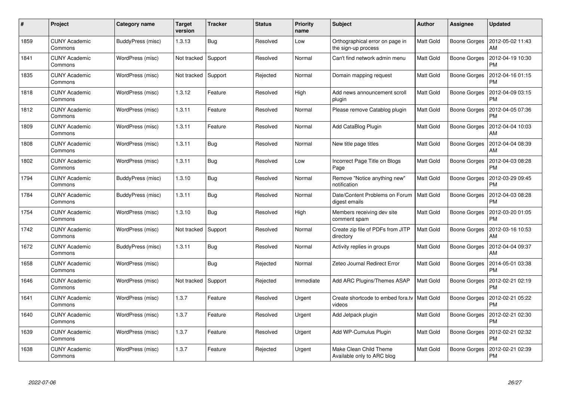| $\pmb{\#}$ | Project                         | Category name     | <b>Target</b><br>version | <b>Tracker</b> | <b>Status</b> | <b>Priority</b><br>name | <b>Subject</b>                                         | <b>Author</b>    | Assignee            | <b>Updated</b>                |
|------------|---------------------------------|-------------------|--------------------------|----------------|---------------|-------------------------|--------------------------------------------------------|------------------|---------------------|-------------------------------|
| 1859       | CUNY Academic<br>Commons        | BuddyPress (misc) | 1.3.13                   | <b>Bug</b>     | Resolved      | Low                     | Orthographical error on page in<br>the sign-up process | <b>Matt Gold</b> | Boone Gorges        | 2012-05-02 11:43<br>AM        |
| 1841       | <b>CUNY Academic</b><br>Commons | WordPress (misc)  | Not tracked              | Support        | Resolved      | Normal                  | Can't find network admin menu                          | Matt Gold        | Boone Gorges        | 2012-04-19 10:30<br><b>PM</b> |
| 1835       | <b>CUNY Academic</b><br>Commons | WordPress (misc)  | Not tracked              | Support        | Rejected      | Normal                  | Domain mapping request                                 | Matt Gold        | Boone Gorges        | 2012-04-16 01:15<br><b>PM</b> |
| 1818       | <b>CUNY Academic</b><br>Commons | WordPress (misc)  | 1.3.12                   | Feature        | Resolved      | High                    | Add news announcement scroll<br>plugin                 | Matt Gold        | Boone Gorges        | 2012-04-09 03:15<br><b>PM</b> |
| 1812       | <b>CUNY Academic</b><br>Commons | WordPress (misc)  | 1.3.11                   | Feature        | Resolved      | Normal                  | Please remove Catablog plugin                          | <b>Matt Gold</b> | Boone Gorges        | 2012-04-05 07:36<br><b>PM</b> |
| 1809       | <b>CUNY Academic</b><br>Commons | WordPress (misc)  | 1.3.11                   | Feature        | Resolved      | Normal                  | Add CataBlog Plugin                                    | Matt Gold        | Boone Gorges        | 2012-04-04 10:03<br>AM        |
| 1808       | <b>CUNY Academic</b><br>Commons | WordPress (misc)  | 1.3.11                   | <b>Bug</b>     | Resolved      | Normal                  | New title page titles                                  | <b>Matt Gold</b> | <b>Boone Gorges</b> | 2012-04-04 08:39<br>AM        |
| 1802       | <b>CUNY Academic</b><br>Commons | WordPress (misc)  | 1.3.11                   | <b>Bug</b>     | Resolved      | Low                     | Incorrect Page Title on Blogs<br>Page                  | <b>Matt Gold</b> | Boone Gorges        | 2012-04-03 08:28<br><b>PM</b> |
| 1794       | <b>CUNY Academic</b><br>Commons | BuddyPress (misc) | 1.3.10                   | <b>Bug</b>     | Resolved      | Normal                  | Remove "Notice anything new"<br>notification           | <b>Matt Gold</b> | Boone Gorges        | 2012-03-29 09:45<br><b>PM</b> |
| 1784       | <b>CUNY Academic</b><br>Commons | BuddyPress (misc) | 1.3.11                   | Bug            | Resolved      | Normal                  | Date/Content Problems on Forum<br>digest emails        | <b>Matt Gold</b> | Boone Gorges        | 2012-04-03 08:28<br><b>PM</b> |
| 1754       | <b>CUNY Academic</b><br>Commons | WordPress (misc)  | 1.3.10                   | <b>Bug</b>     | Resolved      | High                    | Members receiving dev site<br>comment spam             | <b>Matt Gold</b> | Boone Gorges        | 2012-03-20 01:05<br><b>PM</b> |
| 1742       | <b>CUNY Academic</b><br>Commons | WordPress (misc)  | Not tracked              | Support        | Resolved      | Normal                  | Create zip file of PDFs from JITP<br>directory         | Matt Gold        | Boone Gorges        | 2012-03-16 10:53<br>AM        |
| 1672       | <b>CUNY Academic</b><br>Commons | BuddyPress (misc) | 1.3.11                   | <b>Bug</b>     | Resolved      | Normal                  | Activity replies in groups                             | <b>Matt Gold</b> | Boone Gorges        | 2012-04-04 09:37<br>AM        |
| 1658       | <b>CUNY Academic</b><br>Commons | WordPress (misc)  |                          | <b>Bug</b>     | Rejected      | Normal                  | Zeteo Journal Redirect Error                           | <b>Matt Gold</b> | Boone Gorges        | 2014-05-01 03:38<br><b>PM</b> |
| 1646       | <b>CUNY Academic</b><br>Commons | WordPress (misc)  | Not tracked              | Support        | Rejected      | Immediate               | Add ARC Plugins/Themes ASAP                            | Matt Gold        | Boone Gorges        | 2012-02-21 02:19<br><b>PM</b> |
| 1641       | <b>CUNY Academic</b><br>Commons | WordPress (misc)  | 1.3.7                    | Feature        | Resolved      | Urgent                  | Create shortcode to embed fora.tv<br>videos            | <b>Matt Gold</b> | Boone Gorges        | 2012-02-21 05:22<br><b>PM</b> |
| 1640       | <b>CUNY Academic</b><br>Commons | WordPress (misc)  | 1.3.7                    | Feature        | Resolved      | Urgent                  | Add Jetpack plugin                                     | <b>Matt Gold</b> | Boone Gorges        | 2012-02-21 02:30<br><b>PM</b> |
| 1639       | <b>CUNY Academic</b><br>Commons | WordPress (misc)  | 1.3.7                    | Feature        | Resolved      | Urgent                  | Add WP-Cumulus Plugin                                  | <b>Matt Gold</b> | Boone Gorges        | 2012-02-21 02:32<br><b>PM</b> |
| 1638       | <b>CUNY Academic</b><br>Commons | WordPress (misc)  | 1.3.7                    | Feature        | Rejected      | Urgent                  | Make Clean Child Theme<br>Available only to ARC blog   | Matt Gold        | Boone Gorges        | 2012-02-21 02:39<br>PM        |